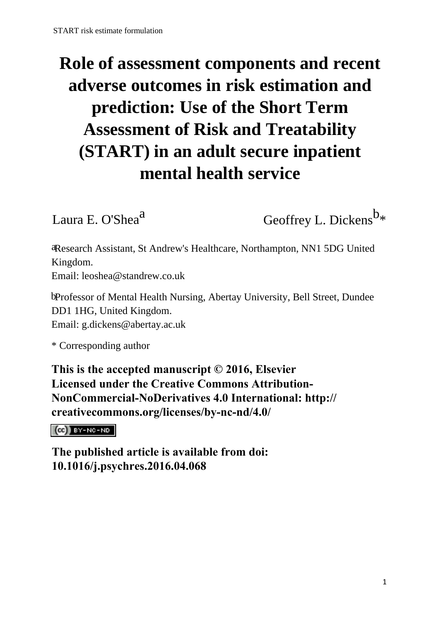# **Role of assessment components and recent adverse outcomes in risk estimation and prediction: Use of the Short Term Assessment of Risk and Treatability (START) in an adult secure inpatient mental health service**

Laura E. O'Shea<sup>a</sup> Geoffrey L. Dickens<sup>b<sub>\*</sub></sup>

aResearch Assistant, St Andrew's Healthcare, Northampton, NN1 5DG United Kingdom. Email: leoshea@standrew.co.uk

bProfessor of Mental Health Nursing, Abertay University, Bell Street, Dundee DD1 1HG, United Kingdom. Email: g.dickens@abertay.ac.uk

\* Corresponding author

**This is the accepted manuscript © 2016, Elsevier Licensed under the Creative Commons Attribution-NonCommercial-NoDerivatives 4.0 International: http:// creativecommons.org/licenses/by-nc-nd/4.0/**

 $(G)$  BY-NC-ND

**The published article is available from doi: 10.1016/j.psychres.2016.04.068**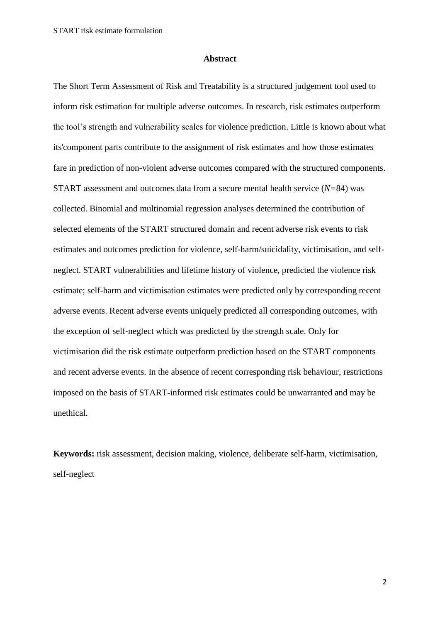#### **Abstract**

The Short Term Assessment of Risk and Treatability is a structured judgement tool used to inform risk estimation for multiple adverse outcomes. In research, risk estimates outperform the tool's strength and vulnerability scales for violence prediction. Little is known about what its'component parts contribute to the assignment of risk estimates and how those estimates fare in prediction of non-violent adverse outcomes compared with the structured components. START assessment and outcomes data from a secure mental health service (*N=*84) was collected. Binomial and multinomial regression analyses determined the contribution of selected elements of the START structured domain and recent adverse risk events to risk estimates and outcomes prediction for violence, self-harm/suicidality, victimisation, and selfneglect. START vulnerabilities and lifetime history of violence, predicted the violence risk estimate; self-harm and victimisation estimates were predicted only by corresponding recent adverse events. Recent adverse events uniquely predicted all corresponding outcomes, with the exception of self-neglect which was predicted by the strength scale. Only for victimisation did the risk estimate outperform prediction based on the START components and recent adverse events. In the absence of recent corresponding risk behaviour, restrictions imposed on the basis of START-informed risk estimates could be unwarranted and may be unethical.

**Keywords:** risk assessment, decision making, violence, deliberate self-harm, victimisation, self-neglect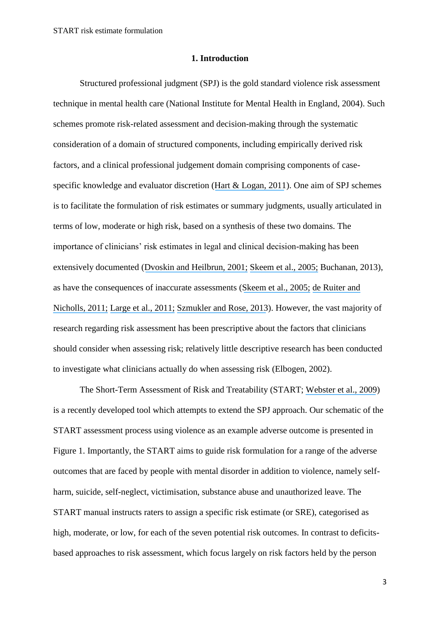#### **1. Introduction**

Structured professional judgment (SPJ) is the gold standard violence risk assessment technique in mental health care (National Institute for Mental Health in England, 2004). Such schemes promote risk-related assessment and decision-making through the systematic consideration of a domain of structured components, including empirically derived risk factors, and a clinical professional judgement domain comprising components of casespecific knowledge and evaluator discretion ([Hart & Logan, 2011](https://www.researchgate.net/publication/283360239_Formulation_of_violence_risk_using_evidence-based_assessments_The_structured_professional_judgement_approach?el=1_x_8&enrichId=rgreq-b1464a5a-7b8f-425b-8fab-e373869daae6&enrichSource=Y292ZXJQYWdlOzMwMTYxMjg0ODtBUzozNTQ0Mzg2MTYyNDAxMjhAMTQ2MTUxNjE1OTEzNA==)). One aim of SPJ schemes is to facilitate the formulation of risk estimates or summary judgments, usually articulated in terms of low, moderate or high risk, based on a synthesis of these two domains. The importance of clinicians' risk estimates in legal and clinical decision-making has been extensively documented ([Dvoskin and Heilbrun, 2001;](https://www.researchgate.net/publication/12032727_Risk_assessment_and_release_decision-making_Toward_resolving_the_Great_Debate?el=1_x_8&enrichId=rgreq-b1464a5a-7b8f-425b-8fab-e373869daae6&enrichSource=Y292ZXJQYWdlOzMwMTYxMjg0ODtBUzozNTQ0Mzg2MTYyNDAxMjhAMTQ2MTUxNjE1OTEzNA==) [Skeem et al., 2005;](https://www.researchgate.net/publication/7828440_Gender_and_Risk_Assessment_Accuracy_Underestimating_Women) Buchanan, 2013), as have the consequences of inaccurate assessments ([Skeem et al., 2005;](https://www.researchgate.net/publication/7828440_Gender_and_Risk_Assessment_Accuracy_Underestimating_Women) [de Ruiter and](https://www.researchgate.net/publication/215880776_Protective_Factors_in_Forensic_Mental_Health_A_New_Frontier?el=1_x_8&enrichId=rgreq-b1464a5a-7b8f-425b-8fab-e373869daae6&enrichSource=Y292ZXJQYWdlOzMwMTYxMjg0ODtBUzozNTQ0Mzg2MTYyNDAxMjhAMTQ2MTUxNjE1OTEzNA==)  [Nicholls, 2011;](https://www.researchgate.net/publication/215880776_Protective_Factors_in_Forensic_Mental_Health_A_New_Frontier?el=1_x_8&enrichId=rgreq-b1464a5a-7b8f-425b-8fab-e373869daae6&enrichSource=Y292ZXJQYWdlOzMwMTYxMjg0ODtBUzozNTQ0Mzg2MTYyNDAxMjhAMTQ2MTUxNjE1OTEzNA==) [Large et al., 2011;](https://www.researchgate.net/publication/49770545_The_Predictive_Value_of_Risk_Categorization_in_Schizophrenia?el=1_x_8&enrichId=rgreq-b1464a5a-7b8f-425b-8fab-e373869daae6&enrichSource=Y292ZXJQYWdlOzMwMTYxMjg0ODtBUzozNTQ0Mzg2MTYyNDAxMjhAMTQ2MTUxNjE1OTEzNA==) [Szmukler and Rose, 2013](https://www.researchgate.net/publication/234086322_Risk_Assessment_in_Mental_Health_Care_Values_and_Costs?el=1_x_8&enrichId=rgreq-b1464a5a-7b8f-425b-8fab-e373869daae6&enrichSource=Y292ZXJQYWdlOzMwMTYxMjg0ODtBUzozNTQ0Mzg2MTYyNDAxMjhAMTQ2MTUxNjE1OTEzNA==)). However, the vast majority of research regarding risk assessment has been prescriptive about the factors that clinicians should consider when assessing risk; relatively little descriptive research has been conducted to investigate what clinicians actually do when assessing risk (Elbogen, 2002).

The Short-Term Assessment of Risk and Treatability (START; [Webster et al., 2009](https://www.researchgate.net/publication/256199673_Manual_for_the_Short-Term_Assessment_of_Risk_and_Treatability_START_Version_11?el=1_x_8&enrichId=rgreq-b1464a5a-7b8f-425b-8fab-e373869daae6&enrichSource=Y292ZXJQYWdlOzMwMTYxMjg0ODtBUzozNTQ0Mzg2MTYyNDAxMjhAMTQ2MTUxNjE1OTEzNA==)) is a recently developed tool which attempts to extend the SPJ approach. Our schematic of the START assessment process using violence as an example adverse outcome is presented in Figure 1. Importantly, the START aims to guide risk formulation for a range of the adverse outcomes that are faced by people with mental disorder in addition to violence, namely selfharm, suicide, self-neglect, victimisation, substance abuse and unauthorized leave. The START manual instructs raters to assign a specific risk estimate (or SRE), categorised as high, moderate, or low, for each of the seven potential risk outcomes. In contrast to deficitsbased approaches to risk assessment, which focus largely on risk factors held by the person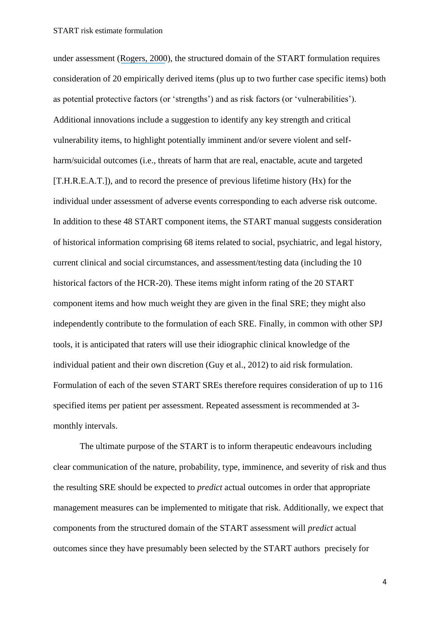under assessment ([Rogers, 2000](https://www.researchgate.net/publication/12298576_The_Uncritical_Acceptance_of_Risk_Assessment_in_Forensic_Practice?el=1_x_8&enrichId=rgreq-b1464a5a-7b8f-425b-8fab-e373869daae6&enrichSource=Y292ZXJQYWdlOzMwMTYxMjg0ODtBUzozNTQ0Mzg2MTYyNDAxMjhAMTQ2MTUxNjE1OTEzNA==)), the structured domain of the START formulation requires consideration of 20 empirically derived items (plus up to two further case specific items) both as potential protective factors (or 'strengths') and as risk factors (or 'vulnerabilities'). Additional innovations include a suggestion to identify any key strength and critical vulnerability items, to highlight potentially imminent and/or severe violent and selfharm/suicidal outcomes (i.e., threats of harm that are real, enactable, acute and targeted [T.H.R.E.A.T.]), and to record the presence of previous lifetime history (Hx) for the individual under assessment of adverse events corresponding to each adverse risk outcome. In addition to these 48 START component items, the START manual suggests consideration of historical information comprising 68 items related to social, psychiatric, and legal history, current clinical and social circumstances, and assessment/testing data (including the 10 historical factors of the HCR-20). These items might inform rating of the 20 START component items and how much weight they are given in the final SRE; they might also independently contribute to the formulation of each SRE. Finally, in common with other SPJ tools, it is anticipated that raters will use their idiographic clinical knowledge of the individual patient and their own discretion (Guy et al., 2012) to aid risk formulation. Formulation of each of the seven START SREs therefore requires consideration of up to 116 specified items per patient per assessment. Repeated assessment is recommended at 3 monthly intervals.

The ultimate purpose of the START is to inform therapeutic endeavours including clear communication of the nature, probability, type, imminence, and severity of risk and thus the resulting SRE should be expected to *predict* actual outcomes in order that appropriate management measures can be implemented to mitigate that risk. Additionally, we expect that components from the structured domain of the START assessment will *predict* actual outcomes since they have presumably been selected by the START authors precisely for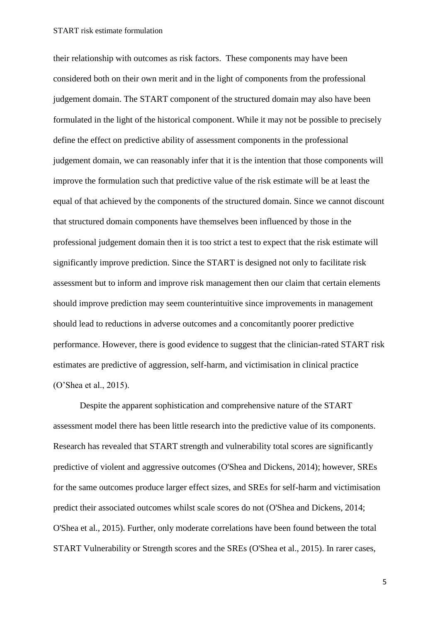their relationship with outcomes as risk factors. These components may have been considered both on their own merit and in the light of components from the professional judgement domain. The START component of the structured domain may also have been formulated in the light of the historical component. While it may not be possible to precisely define the effect on predictive ability of assessment components in the professional judgement domain, we can reasonably infer that it is the intention that those components will improve the formulation such that predictive value of the risk estimate will be at least the equal of that achieved by the components of the structured domain. Since we cannot discount that structured domain components have themselves been influenced by those in the professional judgement domain then it is too strict a test to expect that the risk estimate will significantly improve prediction. Since the START is designed not only to facilitate risk assessment but to inform and improve risk management then our claim that certain elements should improve prediction may seem counterintuitive since improvements in management should lead to reductions in adverse outcomes and a concomitantly poorer predictive performance. However, there is good evidence to suggest that the clinician-rated START risk estimates are predictive of aggression, self-harm, and victimisation in clinical practice (O'Shea et al., 2015).

Despite the apparent sophistication and comprehensive nature of the START assessment model there has been little research into the predictive value of its components. Research has revealed that START strength and vulnerability total scores are significantly predictive of violent and aggressive outcomes (O'Shea and Dickens, 2014); however, SREs for the same outcomes produce larger effect sizes, and SREs for self-harm and victimisation predict their associated outcomes whilst scale scores do not (O'Shea and Dickens, 2014; O'Shea et al., 2015). Further, only moderate correlations have been found between the total START Vulnerability or Strength scores and the SREs (O'Shea et al., 2015). In rarer cases,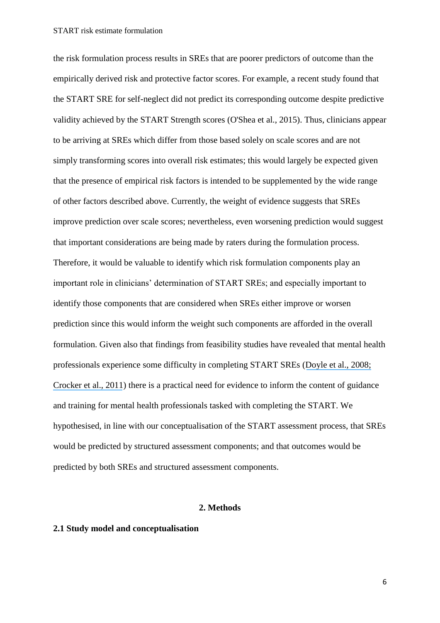the risk formulation process results in SREs that are poorer predictors of outcome than the empirically derived risk and protective factor scores. For example, a recent study found that the START SRE for self-neglect did not predict its corresponding outcome despite predictive validity achieved by the START Strength scores (O'Shea et al., 2015). Thus, clinicians appear to be arriving at SREs which differ from those based solely on scale scores and are not simply transforming scores into overall risk estimates; this would largely be expected given that the presence of empirical risk factors is intended to be supplemented by the wide range of other factors described above. Currently, the weight of evidence suggests that SREs improve prediction over scale scores; nevertheless, even worsening prediction would suggest that important considerations are being made by raters during the formulation process. Therefore, it would be valuable to identify which risk formulation components play an important role in clinicians' determination of START SREs; and especially important to identify those components that are considered when SREs either improve or worsen prediction since this would inform the weight such components are afforded in the overall formulation. Given also that findings from feasibility studies have revealed that mental health professionals experience some difficulty in completing START SREs ([Doyle et al., 2008;](https://www.researchgate.net/publication/240290683_Implementing_the_Short-Term_Assessment_of_Risk_and_Treatability_START_in_a_forensic_mental_health_service?el=1_x_8&enrichId=rgreq-b1464a5a-7b8f-425b-8fab-e373869daae6&enrichSource=Y292ZXJQYWdlOzMwMTYxMjg0ODtBUzozNTQ0Mzg2MTYyNDAxMjhAMTQ2MTUxNjE1OTEzNA==) [Crocker et al., 2011](https://www.researchgate.net/publication/232935078_START_Changing_Practice_Implementing_a_Risk_Assessment_and_Management_Tool_in_a_Civil_Psychiatric_Setting?el=1_x_8&enrichId=rgreq-b1464a5a-7b8f-425b-8fab-e373869daae6&enrichSource=Y292ZXJQYWdlOzMwMTYxMjg0ODtBUzozNTQ0Mzg2MTYyNDAxMjhAMTQ2MTUxNjE1OTEzNA==)) there is a practical need for evidence to inform the content of guidance and training for mental health professionals tasked with completing the START. We hypothesised, in line with our conceptualisation of the START assessment process, that SREs would be predicted by structured assessment components; and that outcomes would be predicted by both SREs and structured assessment components.

#### **2. Methods**

#### **2.1 Study model and conceptualisation**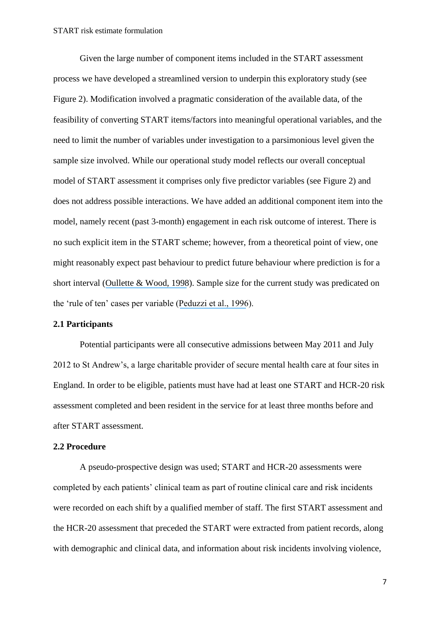Given the large number of component items included in the START assessment process we have developed a streamlined version to underpin this exploratory study (see Figure 2). Modification involved a pragmatic consideration of the available data, of the feasibility of converting START items/factors into meaningful operational variables, and the need to limit the number of variables under investigation to a parsimonious level given the sample size involved. While our operational study model reflects our overall conceptual model of START assessment it comprises only five predictor variables (see Figure 2) and does not address possible interactions. We have added an additional component item into the model, namely recent (past 3-month) engagement in each risk outcome of interest. There is no such explicit item in the START scheme; however, from a theoretical point of view, one might reasonably expect past behaviour to predict future behaviour where prediction is for a short interval ([Oullette & Wood, 1998](https://www.researchgate.net/publication/254734093_Habit_and_Intention_in_Everyday_Life_The_Multiple_Processes_by_Which_Past_Behavior_Predicts_Future_Behavior?el=1_x_8&enrichId=rgreq-b1464a5a-7b8f-425b-8fab-e373869daae6&enrichSource=Y292ZXJQYWdlOzMwMTYxMjg0ODtBUzozNTQ0Mzg2MTYyNDAxMjhAMTQ2MTUxNjE1OTEzNA==)). Sample size for the current study was predicated on the 'rule of ten' cases per variable ([Peduzzi et al., 1996](https://www.researchgate.net/publication/14236358_A_Simulation_Study_of_the_Number_of_Events_per_Variable_in_Logistic_Regression_Analysis?el=1_x_8&enrichId=rgreq-b1464a5a-7b8f-425b-8fab-e373869daae6&enrichSource=Y292ZXJQYWdlOzMwMTYxMjg0ODtBUzozNTQ0Mzg2MTYyNDAxMjhAMTQ2MTUxNjE1OTEzNA==)).

#### **2.1 Participants**

Potential participants were all consecutive admissions between May 2011 and July 2012 to St Andrew's, a large charitable provider of secure mental health care at four sites in England. In order to be eligible, patients must have had at least one START and HCR-20 risk assessment completed and been resident in the service for at least three months before and after START assessment.

#### **2.2 Procedure**

A pseudo-prospective design was used; START and HCR-20 assessments were completed by each patients' clinical team as part of routine clinical care and risk incidents were recorded on each shift by a qualified member of staff. The first START assessment and the HCR-20 assessment that preceded the START were extracted from patient records, along with demographic and clinical data, and information about risk incidents involving violence,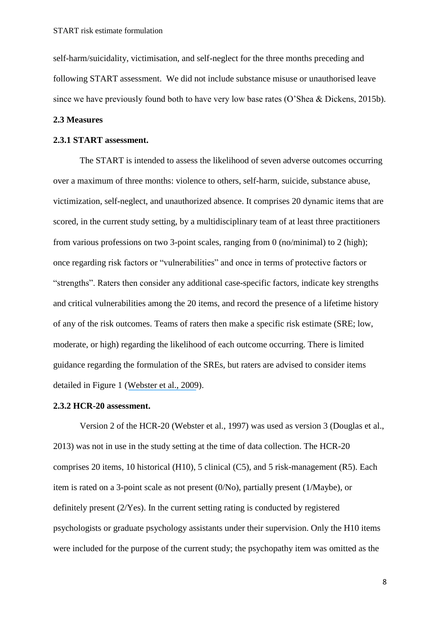self-harm/suicidality, victimisation, and self-neglect for the three months preceding and following START assessment. We did not include substance misuse or unauthorised leave since we have previously found both to have very low base rates (O'Shea & Dickens, 2015b).

#### **2.3 Measures**

#### **2.3.1 START assessment.**

The START is intended to assess the likelihood of seven adverse outcomes occurring over a maximum of three months: violence to others, self-harm, suicide, substance abuse, victimization, self-neglect, and unauthorized absence. It comprises 20 dynamic items that are scored, in the current study setting, by a multidisciplinary team of at least three practitioners from various professions on two 3-point scales, ranging from 0 (no/minimal) to 2 (high); once regarding risk factors or "vulnerabilities" and once in terms of protective factors or "strengths". Raters then consider any additional case-specific factors, indicate key strengths and critical vulnerabilities among the 20 items, and record the presence of a lifetime history of any of the risk outcomes. Teams of raters then make a specific risk estimate (SRE; low, moderate, or high) regarding the likelihood of each outcome occurring. There is limited guidance regarding the formulation of the SREs, but raters are advised to consider items detailed in Figure 1 ([Webster et al., 2009](https://www.researchgate.net/publication/256199673_Manual_for_the_Short-Term_Assessment_of_Risk_and_Treatability_START_Version_11?el=1_x_8&enrichId=rgreq-b1464a5a-7b8f-425b-8fab-e373869daae6&enrichSource=Y292ZXJQYWdlOzMwMTYxMjg0ODtBUzozNTQ0Mzg2MTYyNDAxMjhAMTQ2MTUxNjE1OTEzNA==)).

#### **2.3.2 HCR-20 assessment.**

Version 2 of the HCR-20 (Webster et al., 1997) was used as version 3 (Douglas et al., 2013) was not in use in the study setting at the time of data collection. The HCR-20 comprises 20 items, 10 historical (H10), 5 clinical (C5), and 5 risk-management (R5). Each item is rated on a 3-point scale as not present (0/No), partially present (1/Maybe), or definitely present (2/Yes). In the current setting rating is conducted by registered psychologists or graduate psychology assistants under their supervision. Only the H10 items were included for the purpose of the current study; the psychopathy item was omitted as the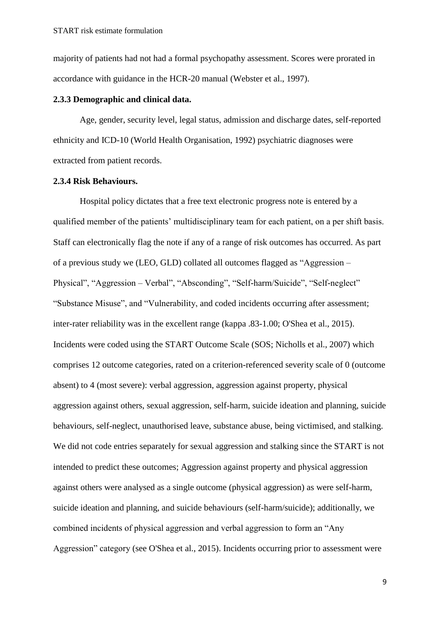majority of patients had not had a formal psychopathy assessment. Scores were prorated in accordance with guidance in the HCR-20 manual (Webster et al., 1997).

#### **2.3.3 Demographic and clinical data.**

Age, gender, security level, legal status, admission and discharge dates, self-reported ethnicity and ICD-10 (World Health Organisation, 1992) psychiatric diagnoses were extracted from patient records.

#### **2.3.4 Risk Behaviours.**

Hospital policy dictates that a free text electronic progress note is entered by a qualified member of the patients' multidisciplinary team for each patient, on a per shift basis. Staff can electronically flag the note if any of a range of risk outcomes has occurred. As part of a previous study we (LEO, GLD) collated all outcomes flagged as "Aggression – Physical", "Aggression – Verbal", "Absconding", "Self-harm/Suicide", "Self-neglect" "Substance Misuse", and "Vulnerability, and coded incidents occurring after assessment; inter-rater reliability was in the excellent range (kappa .83-1.00; O'Shea et al., 2015). Incidents were coded using the START Outcome Scale (SOS; Nicholls et al., 2007) which comprises 12 outcome categories, rated on a criterion-referenced severity scale of 0 (outcome absent) to 4 (most severe): verbal aggression, aggression against property, physical aggression against others, sexual aggression, self-harm, suicide ideation and planning, suicide behaviours, self-neglect, unauthorised leave, substance abuse, being victimised, and stalking. We did not code entries separately for sexual aggression and stalking since the START is not intended to predict these outcomes; Aggression against property and physical aggression against others were analysed as a single outcome (physical aggression) as were self-harm, suicide ideation and planning, and suicide behaviours (self-harm/suicide); additionally, we combined incidents of physical aggression and verbal aggression to form an "Any Aggression" category (see O'Shea et al., 2015). Incidents occurring prior to assessment were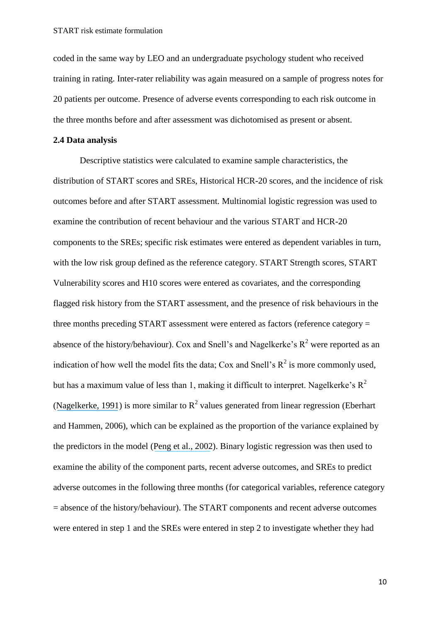coded in the same way by LEO and an undergraduate psychology student who received training in rating. Inter-rater reliability was again measured on a sample of progress notes for 20 patients per outcome. Presence of adverse events corresponding to each risk outcome in the three months before and after assessment was dichotomised as present or absent.

#### **2.4 Data analysis**

Descriptive statistics were calculated to examine sample characteristics, the distribution of START scores and SREs, Historical HCR-20 scores, and the incidence of risk outcomes before and after START assessment. Multinomial logistic regression was used to examine the contribution of recent behaviour and the various START and HCR-20 components to the SREs; specific risk estimates were entered as dependent variables in turn, with the low risk group defined as the reference category. START Strength scores, START Vulnerability scores and H10 scores were entered as covariates, and the corresponding flagged risk history from the START assessment, and the presence of risk behaviours in the three months preceding START assessment were entered as factors (reference category = absence of the history/behaviour). Cox and Snell's and Nagelkerke's  $R^2$  were reported as an indication of how well the model fits the data; Cox and Snell's  $R^2$  is more commonly used, but has a maximum value of less than 1, making it difficult to interpret. Nagelkerke's  $R^2$ ([Nagelkerke, 1991](https://www.researchgate.net/publication/31102908_A_More_General_Definition_of_the_Coefficient_of_Determination?el=1_x_8&enrichId=rgreq-b1464a5a-7b8f-425b-8fab-e373869daae6&enrichSource=Y292ZXJQYWdlOzMwMTYxMjg0ODtBUzozNTQ0Mzg2MTYyNDAxMjhAMTQ2MTUxNjE1OTEzNA==)) is more similar to  $R^2$  values generated from linear regression (Eberhart and Hammen, 2006), which can be explained as the proportion of the variance explained by the predictors in the model ([Peng et al., 2002](https://www.researchgate.net/publication/242579096_An_Introduction_to_Logistic_Regression_Analysis_and_Reporting?el=1_x_8&enrichId=rgreq-b1464a5a-7b8f-425b-8fab-e373869daae6&enrichSource=Y292ZXJQYWdlOzMwMTYxMjg0ODtBUzozNTQ0Mzg2MTYyNDAxMjhAMTQ2MTUxNjE1OTEzNA==)). Binary logistic regression was then used to examine the ability of the component parts, recent adverse outcomes, and SREs to predict adverse outcomes in the following three months (for categorical variables, reference category = absence of the history/behaviour). The START components and recent adverse outcomes were entered in step 1 and the SREs were entered in step 2 to investigate whether they had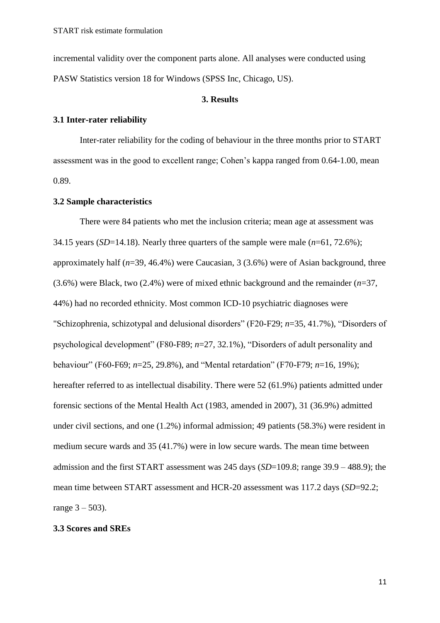incremental validity over the component parts alone. All analyses were conducted using PASW Statistics version 18 for Windows (SPSS Inc, Chicago, US).

#### **3. Results**

#### **3.1 Inter-rater reliability**

Inter-rater reliability for the coding of behaviour in the three months prior to START assessment was in the good to excellent range; Cohen's kappa ranged from 0.64-1.00, mean 0.89.

#### **3.2 Sample characteristics**

There were 84 patients who met the inclusion criteria; mean age at assessment was 34.15 years (*SD*=14.18). Nearly three quarters of the sample were male (*n*=61, 72.6%); approximately half (*n*=39, 46.4%) were Caucasian, 3 (3.6%) were of Asian background, three (3.6%) were Black, two (2.4%) were of mixed ethnic background and the remainder (*n*=37, 44%) had no recorded ethnicity. Most common ICD-10 psychiatric diagnoses were "Schizophrenia, schizotypal and delusional disorders" (F20-F29; *n*=35, 41.7%), "Disorders of psychological development" (F80-F89; *n*=27, 32.1%), "Disorders of adult personality and behaviour" (F60-F69; *n*=25, 29.8%), and "Mental retardation" (F70-F79; *n*=16, 19%); hereafter referred to as intellectual disability. There were 52 (61.9%) patients admitted under forensic sections of the Mental Health Act (1983, amended in 2007), 31 (36.9%) admitted under civil sections, and one (1.2%) informal admission; 49 patients (58.3%) were resident in medium secure wards and 35 (41.7%) were in low secure wards. The mean time between admission and the first START assessment was 245 days (*SD*=109.8; range 39.9 – 488.9); the mean time between START assessment and HCR-20 assessment was 117.2 days (*SD*=92.2; range  $3 - 503$ ).

#### **3.3 Scores and SREs**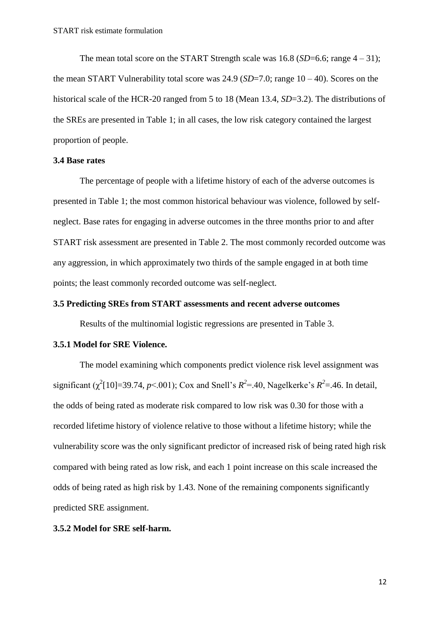The mean total score on the START Strength scale was  $16.8$  (*SD*=6.6; range  $4 - 31$ ); the mean START Vulnerability total score was  $24.9$  (*SD*=7.0; range  $10 - 40$ ). Scores on the historical scale of the HCR-20 ranged from 5 to 18 (Mean 13.4, *SD*=3.2). The distributions of the SREs are presented in Table 1; in all cases, the low risk category contained the largest proportion of people.

#### **3.4 Base rates**

The percentage of people with a lifetime history of each of the adverse outcomes is presented in Table 1; the most common historical behaviour was violence, followed by selfneglect. Base rates for engaging in adverse outcomes in the three months prior to and after START risk assessment are presented in Table 2. The most commonly recorded outcome was any aggression, in which approximately two thirds of the sample engaged in at both time points; the least commonly recorded outcome was self-neglect.

#### **3.5 Predicting SREs from START assessments and recent adverse outcomes**

Results of the multinomial logistic regressions are presented in Table 3.

#### **3.5.1 Model for SRE Violence.**

The model examining which components predict violence risk level assignment was significant ( $\chi^2$ [10]=39.74, *p*<.001); Cox and Snell's  $R^2$ =.40, Nagelkerke's  $R^2$ =.46. In detail, the odds of being rated as moderate risk compared to low risk was 0.30 for those with a recorded lifetime history of violence relative to those without a lifetime history; while the vulnerability score was the only significant predictor of increased risk of being rated high risk compared with being rated as low risk, and each 1 point increase on this scale increased the odds of being rated as high risk by 1.43. None of the remaining components significantly predicted SRE assignment.

#### **3.5.2 Model for SRE self-harm.**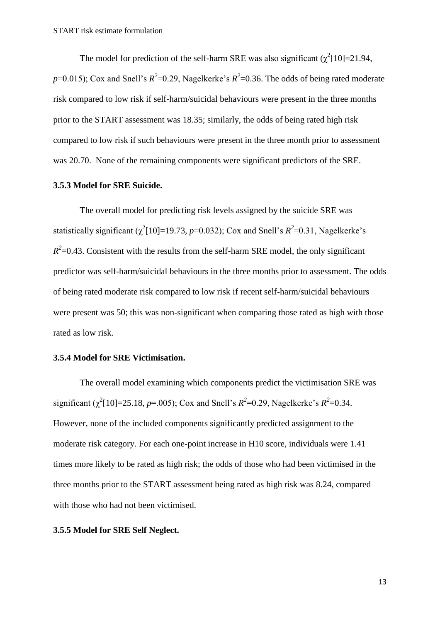The model for prediction of the self-harm SRE was also significant  $(\chi^2[10]=21.94$ ,  $p=0.015$ ); Cox and Snell's  $R^2=0.29$ , Nagelkerke's  $R^2=0.36$ . The odds of being rated moderate risk compared to low risk if self-harm/suicidal behaviours were present in the three months prior to the START assessment was 18.35; similarly, the odds of being rated high risk compared to low risk if such behaviours were present in the three month prior to assessment was 20.70. None of the remaining components were significant predictors of the SRE.

#### **3.5.3 Model for SRE Suicide.**

The overall model for predicting risk levels assigned by the suicide SRE was statistically significant  $(\chi^2[10]=19.73, p=0.032)$ ; Cox and Snell's  $R^2=0.31$ , Nagelkerke's  $R^2$ =0.43. Consistent with the results from the self-harm SRE model, the only significant predictor was self-harm/suicidal behaviours in the three months prior to assessment. The odds of being rated moderate risk compared to low risk if recent self-harm/suicidal behaviours were present was 50; this was non-significant when comparing those rated as high with those rated as low risk.

#### **3.5.4 Model for SRE Victimisation.**

The overall model examining which components predict the victimisation SRE was significant ( $\chi^2$ [10]=25.18, *p*=.005); Cox and Snell's  $R^2$ =0.29, Nagelkerke's  $R^2$ =0.34. However, none of the included components significantly predicted assignment to the moderate risk category. For each one-point increase in H10 score, individuals were 1.41 times more likely to be rated as high risk; the odds of those who had been victimised in the three months prior to the START assessment being rated as high risk was 8.24, compared with those who had not been victimised.

#### **3.5.5 Model for SRE Self Neglect.**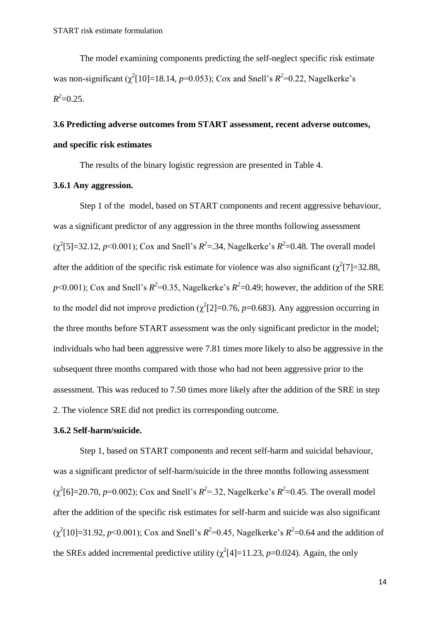The model examining components predicting the self-neglect specific risk estimate was non-significant  $(\chi^2[10] = 18.14, p=0.053)$ ; Cox and Snell's  $R^2=0.22$ , Nagelkerke's  $R^2$ =0.25.

# **3.6 Predicting adverse outcomes from START assessment, recent adverse outcomes, and specific risk estimates**

The results of the binary logistic regression are presented in Table 4.

#### **3.6.1 Any aggression.**

Step 1 of the model, based on START components and recent aggressive behaviour, was a significant predictor of any aggression in the three months following assessment  $(\chi^2[5] = 32.12, p < 0.001)$ ; Cox and Snell's  $R^2 = .34$ , Nagelkerke's  $R^2 = 0.48$ . The overall model after the addition of the specific risk estimate for violence was also significant  $(\chi^2[7] = 32.88$ ,  $p$ <0.001); Cox and Snell's  $R^2$ =0.35, Nagelkerke's  $R^2$ =0.49; however, the addition of the SRE to the model did not improve prediction  $(\chi^2[2] = 0.76, p = 0.683)$ . Any aggression occurring in the three months before START assessment was the only significant predictor in the model; individuals who had been aggressive were 7.81 times more likely to also be aggressive in the subsequent three months compared with those who had not been aggressive prior to the assessment. This was reduced to 7.50 times more likely after the addition of the SRE in step 2. The violence SRE did not predict its corresponding outcome.

#### **3.6.2 Self-harm/suicide.**

Step 1, based on START components and recent self-harm and suicidal behaviour, was a significant predictor of self-harm/suicide in the three months following assessment  $(\chi^2[6] = 20.70, p=0.002)$ ; Cox and Snell's  $R^2 = 0.32$ , Nagelkerke's  $R^2 = 0.45$ . The overall model after the addition of the specific risk estimates for self-harm and suicide was also significant  $(\chi^2[10]=31.92, p<0.001)$ ; Cox and Snell's  $R^2=0.45$ , Nagelkerke's  $R^2=0.64$  and the addition of the SREs added incremental predictive utility  $(\chi^2[4] = 11.23, p = 0.024)$ . Again, the only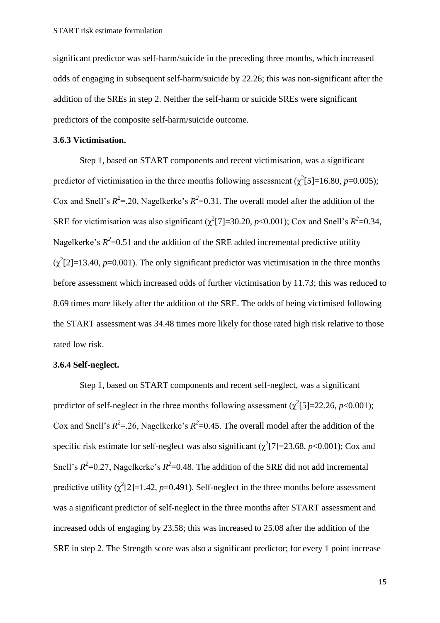significant predictor was self-harm/suicide in the preceding three months, which increased odds of engaging in subsequent self-harm/suicide by 22.26; this was non-significant after the addition of the SREs in step 2. Neither the self-harm or suicide SREs were significant predictors of the composite self-harm/suicide outcome.

#### **3.6.3 Victimisation.**

Step 1, based on START components and recent victimisation, was a significant predictor of victimisation in the three months following assessment ( $\chi^2$ [5]=16.80, *p*=0.005); Cox and Snell's  $R^2 = 20$ , Nagelkerke's  $R^2 = 0.31$ . The overall model after the addition of the SRE for victimisation was also significant ( $\chi^2$ [7]=30.20, *p*<0.001); Cox and Snell's  $R^2$ =0.34, Nagelkerke's  $R^2$ =0.51 and the addition of the SRE added incremental predictive utility  $(\chi^2[2] = 13.40, p = 0.001)$ . The only significant predictor was victimisation in the three months before assessment which increased odds of further victimisation by 11.73; this was reduced to 8.69 times more likely after the addition of the SRE. The odds of being victimised following the START assessment was 34.48 times more likely for those rated high risk relative to those rated low risk.

#### **3.6.4 Self-neglect.**

Step 1, based on START components and recent self-neglect, was a significant predictor of self-neglect in the three months following assessment  $(\chi^2[5] = 22.26, p < 0.001)$ ; Cox and Snell's  $R^2$ =.26, Nagelkerke's  $R^2$ =0.45. The overall model after the addition of the specific risk estimate for self-neglect was also significant  $(\chi^2[7] = 23.68, p < 0.001)$ ; Cox and Snell's  $R^2$ =0.27, Nagelkerke's  $R^2$ =0.48. The addition of the SRE did not add incremental predictive utility  $(\chi^2[2]=1.42, p=0.491)$ . Self-neglect in the three months before assessment was a significant predictor of self-neglect in the three months after START assessment and increased odds of engaging by 23.58; this was increased to 25.08 after the addition of the SRE in step 2. The Strength score was also a significant predictor; for every 1 point increase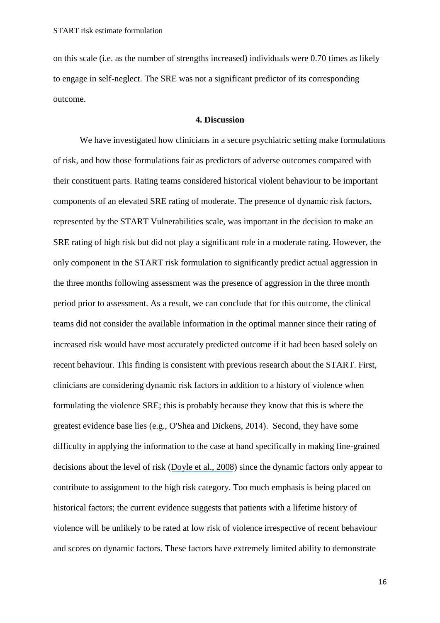on this scale (i.e. as the number of strengths increased) individuals were 0.70 times as likely to engage in self-neglect. The SRE was not a significant predictor of its corresponding outcome.

#### **4. Discussion**

We have investigated how clinicians in a secure psychiatric setting make formulations of risk, and how those formulations fair as predictors of adverse outcomes compared with their constituent parts. Rating teams considered historical violent behaviour to be important components of an elevated SRE rating of moderate. The presence of dynamic risk factors, represented by the START Vulnerabilities scale, was important in the decision to make an SRE rating of high risk but did not play a significant role in a moderate rating. However, the only component in the START risk formulation to significantly predict actual aggression in the three months following assessment was the presence of aggression in the three month period prior to assessment. As a result, we can conclude that for this outcome, the clinical teams did not consider the available information in the optimal manner since their rating of increased risk would have most accurately predicted outcome if it had been based solely on recent behaviour. This finding is consistent with previous research about the START. First, clinicians are considering dynamic risk factors in addition to a history of violence when formulating the violence SRE; this is probably because they know that this is where the greatest evidence base lies (e.g., O'Shea and Dickens, 2014). Second, they have some difficulty in applying the information to the case at hand specifically in making fine-grained decisions about the level of risk ([Doyle et al., 2008](https://www.researchgate.net/publication/240290683_Implementing_the_Short-Term_Assessment_of_Risk_and_Treatability_START_in_a_forensic_mental_health_service?el=1_x_8&enrichId=rgreq-b1464a5a-7b8f-425b-8fab-e373869daae6&enrichSource=Y292ZXJQYWdlOzMwMTYxMjg0ODtBUzozNTQ0Mzg2MTYyNDAxMjhAMTQ2MTUxNjE1OTEzNA==)) since the dynamic factors only appear to contribute to assignment to the high risk category. Too much emphasis is being placed on historical factors; the current evidence suggests that patients with a lifetime history of violence will be unlikely to be rated at low risk of violence irrespective of recent behaviour and scores on dynamic factors. These factors have extremely limited ability to demonstrate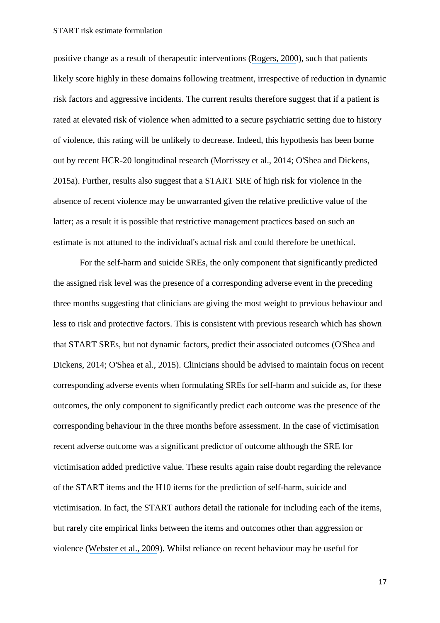positive change as a result of therapeutic interventions ([Rogers, 2000](https://www.researchgate.net/publication/12298576_The_Uncritical_Acceptance_of_Risk_Assessment_in_Forensic_Practice?el=1_x_8&enrichId=rgreq-b1464a5a-7b8f-425b-8fab-e373869daae6&enrichSource=Y292ZXJQYWdlOzMwMTYxMjg0ODtBUzozNTQ0Mzg2MTYyNDAxMjhAMTQ2MTUxNjE1OTEzNA==)), such that patients likely score highly in these domains following treatment, irrespective of reduction in dynamic risk factors and aggressive incidents. The current results therefore suggest that if a patient is rated at elevated risk of violence when admitted to a secure psychiatric setting due to history of violence, this rating will be unlikely to decrease. Indeed, this hypothesis has been borne out by recent HCR-20 longitudinal research (Morrissey et al., 2014; O'Shea and Dickens, 2015a). Further, results also suggest that a START SRE of high risk for violence in the absence of recent violence may be unwarranted given the relative predictive value of the latter; as a result it is possible that restrictive management practices based on such an estimate is not attuned to the individual's actual risk and could therefore be unethical.

For the self-harm and suicide SREs, the only component that significantly predicted the assigned risk level was the presence of a corresponding adverse event in the preceding three months suggesting that clinicians are giving the most weight to previous behaviour and less to risk and protective factors. This is consistent with previous research which has shown that START SREs, but not dynamic factors, predict their associated outcomes (O'Shea and Dickens, 2014; O'Shea et al., 2015). Clinicians should be advised to maintain focus on recent corresponding adverse events when formulating SREs for self-harm and suicide as, for these outcomes, the only component to significantly predict each outcome was the presence of the corresponding behaviour in the three months before assessment. In the case of victimisation recent adverse outcome was a significant predictor of outcome although the SRE for victimisation added predictive value. These results again raise doubt regarding the relevance of the START items and the H10 items for the prediction of self-harm, suicide and victimisation. In fact, the START authors detail the rationale for including each of the items, but rarely cite empirical links between the items and outcomes other than aggression or violence ([Webster et al., 2009](https://www.researchgate.net/publication/256199673_Manual_for_the_Short-Term_Assessment_of_Risk_and_Treatability_START_Version_11?el=1_x_8&enrichId=rgreq-b1464a5a-7b8f-425b-8fab-e373869daae6&enrichSource=Y292ZXJQYWdlOzMwMTYxMjg0ODtBUzozNTQ0Mzg2MTYyNDAxMjhAMTQ2MTUxNjE1OTEzNA==)). Whilst reliance on recent behaviour may be useful for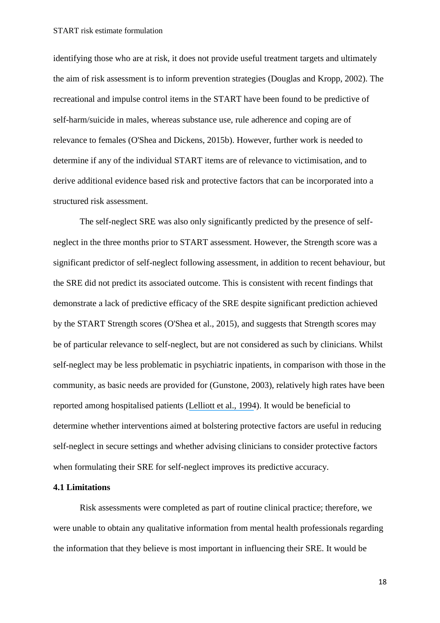identifying those who are at risk, it does not provide useful treatment targets and ultimately the aim of risk assessment is to inform prevention strategies (Douglas and Kropp, 2002). The recreational and impulse control items in the START have been found to be predictive of self-harm/suicide in males, whereas substance use, rule adherence and coping are of relevance to females (O'Shea and Dickens, 2015b). However, further work is needed to determine if any of the individual START items are of relevance to victimisation, and to derive additional evidence based risk and protective factors that can be incorporated into a structured risk assessment.

The self-neglect SRE was also only significantly predicted by the presence of selfneglect in the three months prior to START assessment. However, the Strength score was a significant predictor of self-neglect following assessment, in addition to recent behaviour, but the SRE did not predict its associated outcome. This is consistent with recent findings that demonstrate a lack of predictive efficacy of the SRE despite significant prediction achieved by the START Strength scores (O'Shea et al., 2015), and suggests that Strength scores may be of particular relevance to self-neglect, but are not considered as such by clinicians. Whilst self-neglect may be less problematic in psychiatric inpatients, in comparison with those in the community, as basic needs are provided for (Gunstone, 2003), relatively high rates have been reported among hospitalised patients ([Lelliott et al., 1994](https://www.researchgate.net/publication/15246268_A_national_audit_of_new_long-stay_psychiatric_patients_I_Method_and_description_of_the_cohort?el=1_x_8&enrichId=rgreq-b1464a5a-7b8f-425b-8fab-e373869daae6&enrichSource=Y292ZXJQYWdlOzMwMTYxMjg0ODtBUzozNTQ0Mzg2MTYyNDAxMjhAMTQ2MTUxNjE1OTEzNA==)). It would be beneficial to determine whether interventions aimed at bolstering protective factors are useful in reducing self-neglect in secure settings and whether advising clinicians to consider protective factors when formulating their SRE for self-neglect improves its predictive accuracy.

#### **4.1 Limitations**

Risk assessments were completed as part of routine clinical practice; therefore, we were unable to obtain any qualitative information from mental health professionals regarding the information that they believe is most important in influencing their SRE. It would be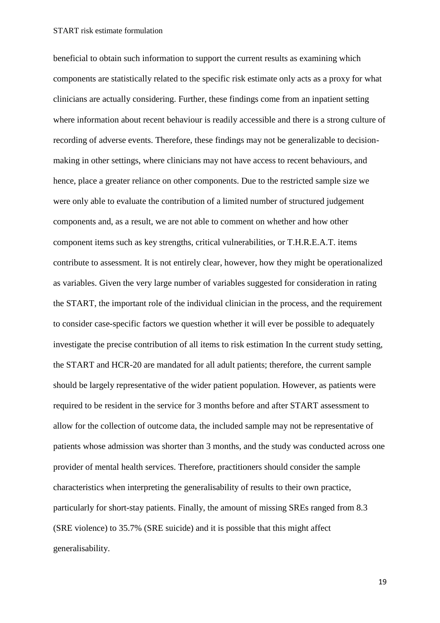beneficial to obtain such information to support the current results as examining which components are statistically related to the specific risk estimate only acts as a proxy for what clinicians are actually considering. Further, these findings come from an inpatient setting where information about recent behaviour is readily accessible and there is a strong culture of recording of adverse events. Therefore, these findings may not be generalizable to decisionmaking in other settings, where clinicians may not have access to recent behaviours, and hence, place a greater reliance on other components. Due to the restricted sample size we were only able to evaluate the contribution of a limited number of structured judgement components and, as a result, we are not able to comment on whether and how other component items such as key strengths, critical vulnerabilities, or T.H.R.E.A.T. items contribute to assessment. It is not entirely clear, however, how they might be operationalized as variables. Given the very large number of variables suggested for consideration in rating the START, the important role of the individual clinician in the process, and the requirement to consider case-specific factors we question whether it will ever be possible to adequately investigate the precise contribution of all items to risk estimation In the current study setting, the START and HCR-20 are mandated for all adult patients; therefore, the current sample should be largely representative of the wider patient population. However, as patients were required to be resident in the service for 3 months before and after START assessment to allow for the collection of outcome data, the included sample may not be representative of patients whose admission was shorter than 3 months, and the study was conducted across one provider of mental health services. Therefore, practitioners should consider the sample characteristics when interpreting the generalisability of results to their own practice, particularly for short-stay patients. Finally, the amount of missing SREs ranged from 8.3 (SRE violence) to 35.7% (SRE suicide) and it is possible that this might affect generalisability.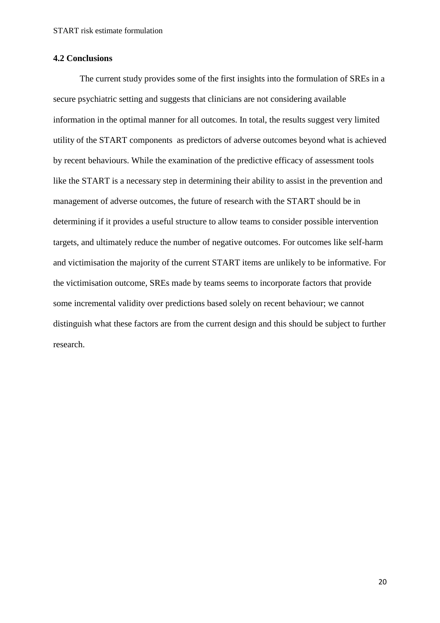#### **4.2 Conclusions**

The current study provides some of the first insights into the formulation of SREs in a secure psychiatric setting and suggests that clinicians are not considering available information in the optimal manner for all outcomes. In total, the results suggest very limited utility of the START components as predictors of adverse outcomes beyond what is achieved by recent behaviours. While the examination of the predictive efficacy of assessment tools like the START is a necessary step in determining their ability to assist in the prevention and management of adverse outcomes, the future of research with the START should be in determining if it provides a useful structure to allow teams to consider possible intervention targets, and ultimately reduce the number of negative outcomes. For outcomes like self-harm and victimisation the majority of the current START items are unlikely to be informative. For the victimisation outcome, SREs made by teams seems to incorporate factors that provide some incremental validity over predictions based solely on recent behaviour; we cannot distinguish what these factors are from the current design and this should be subject to further research.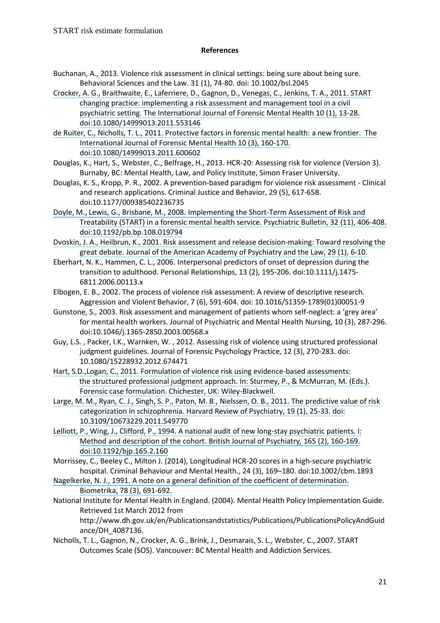#### **References**

- Buchanan, A., 2013. Violence risk assessment in clinical settings: being sure about being sure. Behavioral Sciences and the Law. 31 (1), 74-80. doi: 10.1002/bsl.2045
- [Crocker, A. G., Braithwaite, E., Laferriere, D., Gagnon, D., Venegas, C., Jenkins, T. A., 2011. START](https://www.researchgate.net/publication/232935078_START_Changing_Practice_Implementing_a_Risk_Assessment_and_Management_Tool_in_a_Civil_Psychiatric_Setting?el=1_x_8&enrichId=rgreq-b1464a5a-7b8f-425b-8fab-e373869daae6&enrichSource=Y292ZXJQYWdlOzMwMTYxMjg0ODtBUzozNTQ0Mzg2MTYyNDAxMjhAMTQ2MTUxNjE1OTEzNA==)  [changing practice: implementing a risk assessment and management tool in a civil](https://www.researchgate.net/publication/232935078_START_Changing_Practice_Implementing_a_Risk_Assessment_and_Management_Tool_in_a_Civil_Psychiatric_Setting?el=1_x_8&enrichId=rgreq-b1464a5a-7b8f-425b-8fab-e373869daae6&enrichSource=Y292ZXJQYWdlOzMwMTYxMjg0ODtBUzozNTQ0Mzg2MTYyNDAxMjhAMTQ2MTUxNjE1OTEzNA==) [psychiatric setting. The International Journal of Forensic Mental](https://www.researchgate.net/publication/232935078_START_Changing_Practice_Implementing_a_Risk_Assessment_and_Management_Tool_in_a_Civil_Psychiatric_Setting?el=1_x_8&enrichId=rgreq-b1464a5a-7b8f-425b-8fab-e373869daae6&enrichSource=Y292ZXJQYWdlOzMwMTYxMjg0ODtBUzozNTQ0Mzg2MTYyNDAxMjhAMTQ2MTUxNjE1OTEzNA==) Health 10 (1), 13-28. [doi:10.1080/14999013.2011.553146](https://www.researchgate.net/publication/232935078_START_Changing_Practice_Implementing_a_Risk_Assessment_and_Management_Tool_in_a_Civil_Psychiatric_Setting?el=1_x_8&enrichId=rgreq-b1464a5a-7b8f-425b-8fab-e373869daae6&enrichSource=Y292ZXJQYWdlOzMwMTYxMjg0ODtBUzozNTQ0Mzg2MTYyNDAxMjhAMTQ2MTUxNjE1OTEzNA==)
- [de Ruiter, C., Nicholls, T. L., 2011. Protective factors in forensic mental health: a](https://www.researchgate.net/publication/215880776_Protective_Factors_in_Forensic_Mental_Health_A_New_Frontier?el=1_x_8&enrichId=rgreq-b1464a5a-7b8f-425b-8fab-e373869daae6&enrichSource=Y292ZXJQYWdlOzMwMTYxMjg0ODtBUzozNTQ0Mzg2MTYyNDAxMjhAMTQ2MTUxNjE1OTEzNA==) new frontier. The [International Journal of Forensic Mental](https://www.researchgate.net/publication/215880776_Protective_Factors_in_Forensic_Mental_Health_A_New_Frontier?el=1_x_8&enrichId=rgreq-b1464a5a-7b8f-425b-8fab-e373869daae6&enrichSource=Y292ZXJQYWdlOzMwMTYxMjg0ODtBUzozNTQ0Mzg2MTYyNDAxMjhAMTQ2MTUxNjE1OTEzNA==) Health 10 (3), 160-170. [doi:10.1080/14999013.2011.600602](https://www.researchgate.net/publication/215880776_Protective_Factors_in_Forensic_Mental_Health_A_New_Frontier?el=1_x_8&enrichId=rgreq-b1464a5a-7b8f-425b-8fab-e373869daae6&enrichSource=Y292ZXJQYWdlOzMwMTYxMjg0ODtBUzozNTQ0Mzg2MTYyNDAxMjhAMTQ2MTUxNjE1OTEzNA==)
- Douglas, K., Hart, S., Webster, C., Belfrage, H., 2013. HCR-20: Assessing risk for violence (Version 3). Burnaby, BC: Mental Health, Law, and Policy Institute, Simon Fraser University.
- Douglas, K. S., Kropp, P. R., 2002. A prevention-based paradigm for violence risk assessment Clinical and research applications. Criminal Justice and Behavior, 29 (5), 617-658. doi:10.1177/009385402236735
- [Doyle, M., Lewis, G., Brisbane, M., 2008. Implementing the Short-Term Assessment of Risk and](https://www.researchgate.net/publication/240290683_Implementing_the_Short-Term_Assessment_of_Risk_and_Treatability_START_in_a_forensic_mental_health_service?el=1_x_8&enrichId=rgreq-b1464a5a-7b8f-425b-8fab-e373869daae6&enrichSource=Y292ZXJQYWdlOzMwMTYxMjg0ODtBUzozNTQ0Mzg2MTYyNDAxMjhAMTQ2MTUxNjE1OTEzNA==) [Treatability \(START\) in a forensic mental health service. Psychiatric Bulletin, 32](https://www.researchgate.net/publication/240290683_Implementing_the_Short-Term_Assessment_of_Risk_and_Treatability_START_in_a_forensic_mental_health_service?el=1_x_8&enrichId=rgreq-b1464a5a-7b8f-425b-8fab-e373869daae6&enrichSource=Y292ZXJQYWdlOzMwMTYxMjg0ODtBUzozNTQ0Mzg2MTYyNDAxMjhAMTQ2MTUxNjE1OTEzNA==) (11), 406-408. [doi:10.1192/pb.bp.108.019794](https://www.researchgate.net/publication/240290683_Implementing_the_Short-Term_Assessment_of_Risk_and_Treatability_START_in_a_forensic_mental_health_service?el=1_x_8&enrichId=rgreq-b1464a5a-7b8f-425b-8fab-e373869daae6&enrichSource=Y292ZXJQYWdlOzMwMTYxMjg0ODtBUzozNTQ0Mzg2MTYyNDAxMjhAMTQ2MTUxNjE1OTEzNA==)
- [Dvoskin, J. A., Heilbrun, K., 2001. Risk assessment and release decision-making: Toward resolving the](https://www.researchgate.net/publication/12032727_Risk_assessment_and_release_decision-making_Toward_resolving_the_Great_Debate?el=1_x_8&enrichId=rgreq-b1464a5a-7b8f-425b-8fab-e373869daae6&enrichSource=Y292ZXJQYWdlOzMwMTYxMjg0ODtBUzozNTQ0Mzg2MTYyNDAxMjhAMTQ2MTUxNjE1OTEzNA==)  [great debate. Journal of the American Academy of](https://www.researchgate.net/publication/12032727_Risk_assessment_and_release_decision-making_Toward_resolving_the_Great_Debate?el=1_x_8&enrichId=rgreq-b1464a5a-7b8f-425b-8fab-e373869daae6&enrichSource=Y292ZXJQYWdlOzMwMTYxMjg0ODtBUzozNTQ0Mzg2MTYyNDAxMjhAMTQ2MTUxNjE1OTEzNA==) Psychiatry and the Law, 29 (1), 6-10.
- Eberhart, N. K., Hammen, C. L., 2006. Interpersonal predictors of onset of depression during the transition to adulthood. Personal Relationships, 13 (2), 195-206. doi:10.1111/j.1475- 6811.2006.00113.x
- Elbogen, E. B., 2002. The process of violence risk assessment: A review of descriptive research. Aggression and Violent Behavior, 7 (6), 591-604. doi: 10.1016/S1359-1789(01)00051-9
- Gunstone, S., 2003. Risk assessment and management of patients whom self-neglect: a 'grey area' for mental health workers. Journal of Psychiatric and Mental Health Nursing, 10 (3), 287-296. doi:10.1046/j.1365-2850.2003.00568.x
- Guy, L.S. , Packer, I.K., Warnken, W. , 2012. Assessing risk of violence using structured professional judgment guidelines. Journal of Forensic Psychology Practice, 12 (3), 270-283. doi: 10.1080/15228932.2012.674471
- [Hart, S.D.,Logan, C., 2011. Formulation of violence risk using evidence-based assessments:](https://www.researchgate.net/publication/283360239_Formulation_of_violence_risk_using_evidence-based_assessments_The_structured_professional_judgement_approach?el=1_x_8&enrichId=rgreq-b1464a5a-7b8f-425b-8fab-e373869daae6&enrichSource=Y292ZXJQYWdlOzMwMTYxMjg0ODtBUzozNTQ0Mzg2MTYyNDAxMjhAMTQ2MTUxNjE1OTEzNA==) [the structured professional judgment approach. In: Sturmey, P., & McMurran, M. \(Eds.\).](https://www.researchgate.net/publication/283360239_Formulation_of_violence_risk_using_evidence-based_assessments_The_structured_professional_judgement_approach?el=1_x_8&enrichId=rgreq-b1464a5a-7b8f-425b-8fab-e373869daae6&enrichSource=Y292ZXJQYWdlOzMwMTYxMjg0ODtBUzozNTQ0Mzg2MTYyNDAxMjhAMTQ2MTUxNjE1OTEzNA==) [Forensic case formulation. Chichester, UK: Wiley-Blackwell.](https://www.researchgate.net/publication/283360239_Formulation_of_violence_risk_using_evidence-based_assessments_The_structured_professional_judgement_approach?el=1_x_8&enrichId=rgreq-b1464a5a-7b8f-425b-8fab-e373869daae6&enrichSource=Y292ZXJQYWdlOzMwMTYxMjg0ODtBUzozNTQ0Mzg2MTYyNDAxMjhAMTQ2MTUxNjE1OTEzNA==)
- [Large, M. M., Ryan, C. J., Singh, S. P., Paton, M. B.,](https://www.researchgate.net/publication/49770545_The_Predictive_Value_of_Risk_Categorization_in_Schizophrenia?el=1_x_8&enrichId=rgreq-b1464a5a-7b8f-425b-8fab-e373869daae6&enrichSource=Y292ZXJQYWdlOzMwMTYxMjg0ODtBUzozNTQ0Mzg2MTYyNDAxMjhAMTQ2MTUxNjE1OTEzNA==) Nielssen, O. B., 2011. The predictive value of risk [categorization in schizophrenia. Harvard Review of](https://www.researchgate.net/publication/49770545_The_Predictive_Value_of_Risk_Categorization_in_Schizophrenia?el=1_x_8&enrichId=rgreq-b1464a5a-7b8f-425b-8fab-e373869daae6&enrichSource=Y292ZXJQYWdlOzMwMTYxMjg0ODtBUzozNTQ0Mzg2MTYyNDAxMjhAMTQ2MTUxNjE1OTEzNA==) Psychiatry, 19 (1), 25-33. doi: [10.3109/10673229.2011.549770](https://www.researchgate.net/publication/49770545_The_Predictive_Value_of_Risk_Categorization_in_Schizophrenia?el=1_x_8&enrichId=rgreq-b1464a5a-7b8f-425b-8fab-e373869daae6&enrichSource=Y292ZXJQYWdlOzMwMTYxMjg0ODtBUzozNTQ0Mzg2MTYyNDAxMjhAMTQ2MTUxNjE1OTEzNA==)
- [Lelliott, P., Wing, J., Clifford, P., 1994. A national audit of new long-stay psychiatric patients. I:](https://www.researchgate.net/publication/15246268_A_national_audit_of_new_long-stay_psychiatric_patients_I_Method_and_description_of_the_cohort?el=1_x_8&enrichId=rgreq-b1464a5a-7b8f-425b-8fab-e373869daae6&enrichSource=Y292ZXJQYWdlOzMwMTYxMjg0ODtBUzozNTQ0Mzg2MTYyNDAxMjhAMTQ2MTUxNjE1OTEzNA==) [Method and description of the cohort. British Journal of Psychiatry](https://www.researchgate.net/publication/15246268_A_national_audit_of_new_long-stay_psychiatric_patients_I_Method_and_description_of_the_cohort?el=1_x_8&enrichId=rgreq-b1464a5a-7b8f-425b-8fab-e373869daae6&enrichSource=Y292ZXJQYWdlOzMwMTYxMjg0ODtBUzozNTQ0Mzg2MTYyNDAxMjhAMTQ2MTUxNjE1OTEzNA==)*,* 165 (2), 160-169. [doi:10.1192/bjp.165.2.160](https://www.researchgate.net/publication/15246268_A_national_audit_of_new_long-stay_psychiatric_patients_I_Method_and_description_of_the_cohort?el=1_x_8&enrichId=rgreq-b1464a5a-7b8f-425b-8fab-e373869daae6&enrichSource=Y292ZXJQYWdlOzMwMTYxMjg0ODtBUzozNTQ0Mzg2MTYyNDAxMjhAMTQ2MTUxNjE1OTEzNA==)
- Morrissey, C., Beeley C., Milton J. (2014), Longitudinal HCR-20 scores in a high-secure psychiatric hospital. Criminal Behaviour and Mental Health., 24 (3), 169–180. doi:10.1002/cbm.1893
- [Nagelkerke, N. J., 1991. A note on a general definition of the coefficient of determination.](https://www.researchgate.net/publication/31102908_A_More_General_Definition_of_the_Coefficient_of_Determination?el=1_x_8&enrichId=rgreq-b1464a5a-7b8f-425b-8fab-e373869daae6&enrichSource=Y292ZXJQYWdlOzMwMTYxMjg0ODtBUzozNTQ0Mzg2MTYyNDAxMjhAMTQ2MTUxNjE1OTEzNA==) [Biometrika, 78](https://www.researchgate.net/publication/31102908_A_More_General_Definition_of_the_Coefficient_of_Determination?el=1_x_8&enrichId=rgreq-b1464a5a-7b8f-425b-8fab-e373869daae6&enrichSource=Y292ZXJQYWdlOzMwMTYxMjg0ODtBUzozNTQ0Mzg2MTYyNDAxMjhAMTQ2MTUxNjE1OTEzNA==) (3), 691-692.
- National Institute for Mental Health in England. (2004). Mental Health Policy Implementation Guide. Retrieved 1st March 2012 from http://www.dh.gov.uk/en/Publicationsandstatistics/Publications/PublicationsPolicyAndGuid ance/DH\_4087136.
- Nicholls, T. L., Gagnon, N., Crocker, A. G., Brink, J., Desmarais, S. L., Webster, C., 2007. START Outcomes Scale (SOS). Vancouver: BC Mental Health and Addiction Services.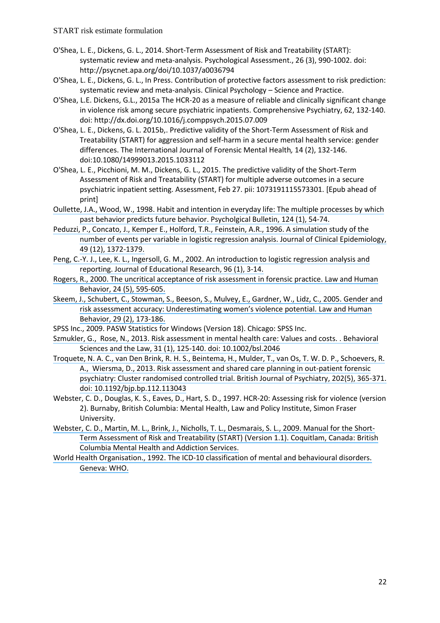- O'Shea, L. E., Dickens, G. L., 2014. Short-Term Assessment of Risk and Treatability (START): systematic review and meta-analysis. Psychological Assessment., 26 (3), 990-1002. doi: http://psycnet.apa.org/doi/10.1037/a0036794
- O'Shea, L. E., Dickens, G. L., In Press. Contribution of protective factors assessment to risk prediction: systematic review and meta-analysis. Clinical Psychology – Science and Practice.
- O'Shea, L.E. Dickens, G.L., 2015a The HCR-20 as a measure of reliable and clinically significant change in violence risk among secure psychiatric inpatients. Comprehensive Psychiatry, 62, 132-140. doi: http://dx.doi.org/10.1016/j.comppsych.2015.07.009
- O'Shea, L. E., Dickens, G. L. 2015b,. Predictive validity of the Short-Term Assessment of Risk and Treatability (START) for aggression and self-harm in a secure mental health service: gender differences. The International Journal of Forensic Mental Health*,* 14 (2), 132-146. doi:10.1080/14999013.2015.1033112
- O'Shea, L. E., Picchioni, M. M., Dickens, G. L., 2015. The predictive validity of the Short-Term Assessment of Risk and Treatability (START) for multiple adverse outcomes in a secure psychiatric inpatient setting. Assessment, Feb 27. pii: 1073191115573301. [Epub ahead of print]
- [Oullette, J.A., Wood, W., 1998. Habit and intention in everyday life: The multiple processes by which](https://www.researchgate.net/publication/254734093_Habit_and_Intention_in_Everyday_Life_The_Multiple_Processes_by_Which_Past_Behavior_Predicts_Future_Behavior?el=1_x_8&enrichId=rgreq-b1464a5a-7b8f-425b-8fab-e373869daae6&enrichSource=Y292ZXJQYWdlOzMwMTYxMjg0ODtBUzozNTQ0Mzg2MTYyNDAxMjhAMTQ2MTUxNjE1OTEzNA==)  [past behavior predicts future behavior.](https://www.researchgate.net/publication/254734093_Habit_and_Intention_in_Everyday_Life_The_Multiple_Processes_by_Which_Past_Behavior_Predicts_Future_Behavior?el=1_x_8&enrichId=rgreq-b1464a5a-7b8f-425b-8fab-e373869daae6&enrichSource=Y292ZXJQYWdlOzMwMTYxMjg0ODtBUzozNTQ0Mzg2MTYyNDAxMjhAMTQ2MTUxNjE1OTEzNA==) Psycholgical Bulletin, 124 (1), 54-74.
- [Peduzzi, P., Concato, J., Kemper E., Holford, T.R., Feinstein, A.R., 1996. A simulation study of the](https://www.researchgate.net/publication/14236358_A_Simulation_Study_of_the_Number_of_Events_per_Variable_in_Logistic_Regression_Analysis?el=1_x_8&enrichId=rgreq-b1464a5a-7b8f-425b-8fab-e373869daae6&enrichSource=Y292ZXJQYWdlOzMwMTYxMjg0ODtBUzozNTQ0Mzg2MTYyNDAxMjhAMTQ2MTUxNjE1OTEzNA==) [number of events per variable in logistic regression analysis. Journal of Clinical Epidemiology,](https://www.researchgate.net/publication/14236358_A_Simulation_Study_of_the_Number_of_Events_per_Variable_in_Logistic_Regression_Analysis?el=1_x_8&enrichId=rgreq-b1464a5a-7b8f-425b-8fab-e373869daae6&enrichSource=Y292ZXJQYWdlOzMwMTYxMjg0ODtBUzozNTQ0Mzg2MTYyNDAxMjhAMTQ2MTUxNjE1OTEzNA==) [49 \(12\), 1372-1379.](https://www.researchgate.net/publication/14236358_A_Simulation_Study_of_the_Number_of_Events_per_Variable_in_Logistic_Regression_Analysis?el=1_x_8&enrichId=rgreq-b1464a5a-7b8f-425b-8fab-e373869daae6&enrichSource=Y292ZXJQYWdlOzMwMTYxMjg0ODtBUzozNTQ0Mzg2MTYyNDAxMjhAMTQ2MTUxNjE1OTEzNA==)
- [Peng, C.-Y. J., Lee, K. L., Ingersoll, G. M., 2002. An introduction to logistic regression](https://www.researchgate.net/publication/242579096_An_Introduction_to_Logistic_Regression_Analysis_and_Reporting?el=1_x_8&enrichId=rgreq-b1464a5a-7b8f-425b-8fab-e373869daae6&enrichSource=Y292ZXJQYWdlOzMwMTYxMjg0ODtBUzozNTQ0Mzg2MTYyNDAxMjhAMTQ2MTUxNjE1OTEzNA==) analysis and [reporting. Journal of Educational Research, 96](https://www.researchgate.net/publication/242579096_An_Introduction_to_Logistic_Regression_Analysis_and_Reporting?el=1_x_8&enrichId=rgreq-b1464a5a-7b8f-425b-8fab-e373869daae6&enrichSource=Y292ZXJQYWdlOzMwMTYxMjg0ODtBUzozNTQ0Mzg2MTYyNDAxMjhAMTQ2MTUxNjE1OTEzNA==) (1), 3-14.
- [Rogers, R., 2000. The uncritical acceptance of risk assessment in forensic practice. Law](https://www.researchgate.net/publication/12298576_The_Uncritical_Acceptance_of_Risk_Assessment_in_Forensic_Practice?el=1_x_8&enrichId=rgreq-b1464a5a-7b8f-425b-8fab-e373869daae6&enrichSource=Y292ZXJQYWdlOzMwMTYxMjg0ODtBUzozNTQ0Mzg2MTYyNDAxMjhAMTQ2MTUxNjE1OTEzNA==) and Human [Behavior, 24](https://www.researchgate.net/publication/12298576_The_Uncritical_Acceptance_of_Risk_Assessment_in_Forensic_Practice?el=1_x_8&enrichId=rgreq-b1464a5a-7b8f-425b-8fab-e373869daae6&enrichSource=Y292ZXJQYWdlOzMwMTYxMjg0ODtBUzozNTQ0Mzg2MTYyNDAxMjhAMTQ2MTUxNjE1OTEzNA==) (5), 595-605.
- [Skeem, J., Schubert, C., Stowman, S., Beeson, S., Mulvey, E., Gardner, W.,](https://www.researchgate.net/publication/7828440_Gender_and_Risk_Assessment_Accuracy_Underestimating_Women) Lidz, C., 2005. Gender and [risk assessment accuracy: Underestimating women's violence potential.](https://www.researchgate.net/publication/7828440_Gender_and_Risk_Assessment_Accuracy_Underestimating_Women) Law and Human [Behavior,](https://www.researchgate.net/publication/7828440_Gender_and_Risk_Assessment_Accuracy_Underestimating_Women) 29 (2), 173-186.
- SPSS Inc., 2009. PASW Statistics for Windows (Version 18). Chicago: SPSS Inc.
- [Szmukler, G., Rose, N., 2013. Risk assessment in mental health care: Values and costs. . Behavioral](https://www.researchgate.net/publication/234086322_Risk_Assessment_in_Mental_Health_Care_Values_and_Costs?el=1_x_8&enrichId=rgreq-b1464a5a-7b8f-425b-8fab-e373869daae6&enrichSource=Y292ZXJQYWdlOzMwMTYxMjg0ODtBUzozNTQ0Mzg2MTYyNDAxMjhAMTQ2MTUxNjE1OTEzNA==) [Sciences and the Law, 31 \(1\), 125-140. doi: 10.1002/bsl.2046](https://www.researchgate.net/publication/234086322_Risk_Assessment_in_Mental_Health_Care_Values_and_Costs?el=1_x_8&enrichId=rgreq-b1464a5a-7b8f-425b-8fab-e373869daae6&enrichSource=Y292ZXJQYWdlOzMwMTYxMjg0ODtBUzozNTQ0Mzg2MTYyNDAxMjhAMTQ2MTUxNjE1OTEzNA==)
- [Troquete, N. A. C., van Den Brink, R. H. S., Beintema, H., Mulder, T., van Os, T. W. D. P., Schoevers, R.](https://www.researchgate.net/publication/236072137_Risk_assessment_and_shared_care_planning_in_out-patient_forensic_psychiatry_Cluster_randomised_controlled_trial?el=1_x_8&enrichId=rgreq-b1464a5a-7b8f-425b-8fab-e373869daae6&enrichSource=Y292ZXJQYWdlOzMwMTYxMjg0ODtBUzozNTQ0Mzg2MTYyNDAxMjhAMTQ2MTUxNjE1OTEzNA==)  [A., Wiersma, D., 2013. Risk assessment and shared care planning in out-patient forensic](https://www.researchgate.net/publication/236072137_Risk_assessment_and_shared_care_planning_in_out-patient_forensic_psychiatry_Cluster_randomised_controlled_trial?el=1_x_8&enrichId=rgreq-b1464a5a-7b8f-425b-8fab-e373869daae6&enrichSource=Y292ZXJQYWdlOzMwMTYxMjg0ODtBUzozNTQ0Mzg2MTYyNDAxMjhAMTQ2MTUxNjE1OTEzNA==)  [psychiatry: Cluster randomised controlled trial. British Journal of Psychiatry, 202\(5\), 365-371.](https://www.researchgate.net/publication/236072137_Risk_assessment_and_shared_care_planning_in_out-patient_forensic_psychiatry_Cluster_randomised_controlled_trial?el=1_x_8&enrichId=rgreq-b1464a5a-7b8f-425b-8fab-e373869daae6&enrichSource=Y292ZXJQYWdlOzMwMTYxMjg0ODtBUzozNTQ0Mzg2MTYyNDAxMjhAMTQ2MTUxNjE1OTEzNA==) [doi: 10.1192/bjp.bp.112.113043](https://www.researchgate.net/publication/236072137_Risk_assessment_and_shared_care_planning_in_out-patient_forensic_psychiatry_Cluster_randomised_controlled_trial?el=1_x_8&enrichId=rgreq-b1464a5a-7b8f-425b-8fab-e373869daae6&enrichSource=Y292ZXJQYWdlOzMwMTYxMjg0ODtBUzozNTQ0Mzg2MTYyNDAxMjhAMTQ2MTUxNjE1OTEzNA==)
- Webster, C. D., Douglas, K. S., Eaves, D., Hart, S. D., 1997. HCR-20: Assessing risk for violence (version 2). Burnaby, British Columbia: Mental Health, Law and Policy Institute, Simon Fraser University.
- [Webster, C. D., Martin, M. L., Brink, J., Nicholls, T. L.,](https://www.researchgate.net/publication/256199673_Manual_for_the_Short-Term_Assessment_of_Risk_and_Treatability_START_Version_11?el=1_x_8&enrichId=rgreq-b1464a5a-7b8f-425b-8fab-e373869daae6&enrichSource=Y292ZXJQYWdlOzMwMTYxMjg0ODtBUzozNTQ0Mzg2MTYyNDAxMjhAMTQ2MTUxNjE1OTEzNA==) Desmarais, S. L., 2009. Manual for the Short-[Term Assessment of Risk and Treatability \(START\) \(Version 1.1\). Coquitlam, Canada: British](https://www.researchgate.net/publication/256199673_Manual_for_the_Short-Term_Assessment_of_Risk_and_Treatability_START_Version_11?el=1_x_8&enrichId=rgreq-b1464a5a-7b8f-425b-8fab-e373869daae6&enrichSource=Y292ZXJQYWdlOzMwMTYxMjg0ODtBUzozNTQ0Mzg2MTYyNDAxMjhAMTQ2MTUxNjE1OTEzNA==) [Columbia Mental Health and Addiction Services.](https://www.researchgate.net/publication/256199673_Manual_for_the_Short-Term_Assessment_of_Risk_and_Treatability_START_Version_11?el=1_x_8&enrichId=rgreq-b1464a5a-7b8f-425b-8fab-e373869daae6&enrichSource=Y292ZXJQYWdlOzMwMTYxMjg0ODtBUzozNTQ0Mzg2MTYyNDAxMjhAMTQ2MTUxNjE1OTEzNA==)
- [World Health Organisation., 1992. The ICD-10 classification of mental and behavioural disorders.](https://www.researchgate.net/publication/288751766_A_conceptual_framework_for_the_revision_of_the_ICD-10_classification_of_mental_and_behavioural_disorders?el=1_x_8&enrichId=rgreq-b1464a5a-7b8f-425b-8fab-e373869daae6&enrichSource=Y292ZXJQYWdlOzMwMTYxMjg0ODtBUzozNTQ0Mzg2MTYyNDAxMjhAMTQ2MTUxNjE1OTEzNA==) [Geneva: WHO.](https://www.researchgate.net/publication/288751766_A_conceptual_framework_for_the_revision_of_the_ICD-10_classification_of_mental_and_behavioural_disorders?el=1_x_8&enrichId=rgreq-b1464a5a-7b8f-425b-8fab-e373869daae6&enrichSource=Y292ZXJQYWdlOzMwMTYxMjg0ODtBUzozNTQ0Mzg2MTYyNDAxMjhAMTQ2MTUxNjE1OTEzNA==)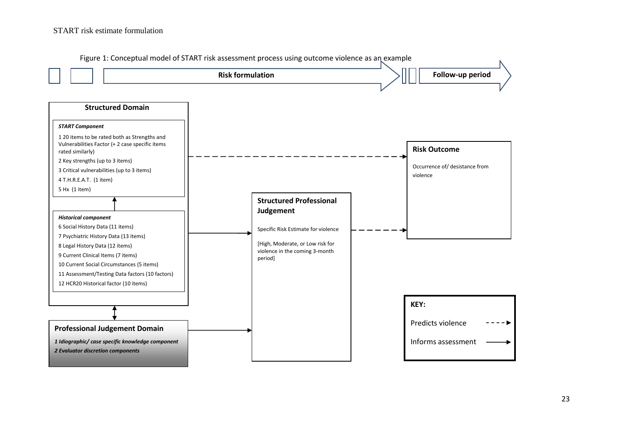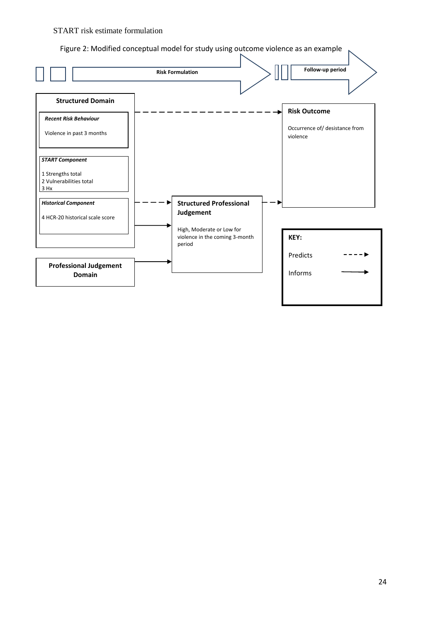Figure 2: Modified conceptual model for study using outcome violence as an example

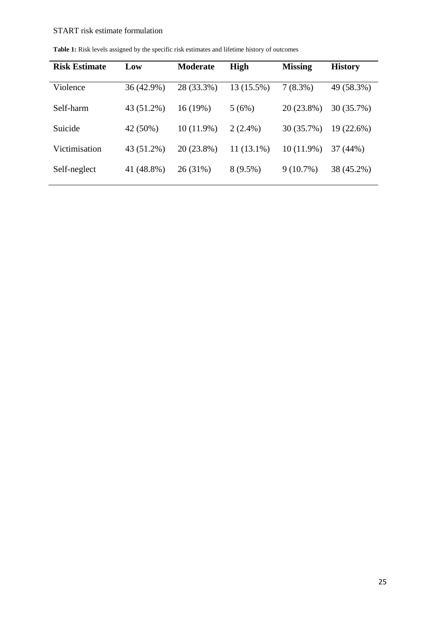| <b>Risk Estimate</b> | Low        | <b>Moderate</b> | <b>High</b>  | <b>Missing</b> | <b>History</b> |
|----------------------|------------|-----------------|--------------|----------------|----------------|
| Violence             | 36 (42.9%) | 28 (33.3%)      | 13 (15.5%)   | $7(8.3\%)$     | 49 (58.3%)     |
| Self-harm            | 43 (51.2%) | 16(19%)         | 5(6%)        | 20 (23.8%)     | 30 (35.7%)     |
| Suicide              | 42 (50%)   | $10(11.9\%)$    | $2(2.4\%)$   | 30(35.7%)      | 19(22.6%)      |
| Victimisation        | 43 (51.2%) | 20 (23.8%)      | $11(13.1\%)$ | $10(11.9\%)$   | 37 (44%)       |
| Self-neglect         | 41 (48.8%) | 26(31%)         | $8(9.5\%)$   | $9(10.7\%)$    | 38 (45.2%)     |

Table 1: Risk levels assigned by the specific risk estimates and lifetime history of outcomes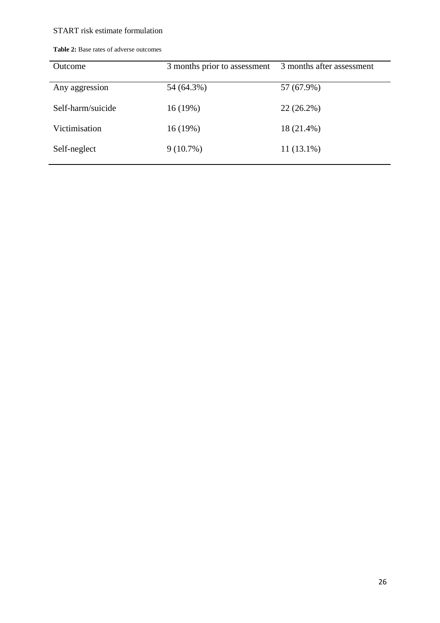| <b>Outcome</b>    | 3 months prior to assessment | 3 months after assessment |
|-------------------|------------------------------|---------------------------|
| Any aggression    | 54 (64.3%)                   | 57 (67.9%)                |
| Self-harm/suicide | 16(19%)                      | $22(26.2\%)$              |
| Victimisation     | 16(19%)                      | 18 (21.4%)                |
| Self-neglect      | $9(10.7\%)$                  | $11(13.1\%)$              |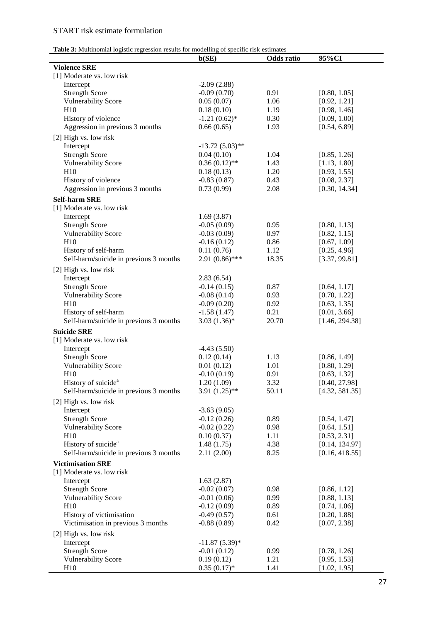| Table 3: Multinomial logistic regression results for modelling of specific risk estimates |
|-------------------------------------------------------------------------------------------|
|-------------------------------------------------------------------------------------------|

| <b>Table 3:</b> Multinonial logistic regression results for moderning of specific risk estimates | b(SE)             | Odds ratio | 95%CI          |
|--------------------------------------------------------------------------------------------------|-------------------|------------|----------------|
| <b>Violence SRE</b>                                                                              |                   |            |                |
| [1] Moderate vs. low risk                                                                        |                   |            |                |
| Intercept                                                                                        | $-2.09(2.88)$     |            |                |
| <b>Strength Score</b>                                                                            | $-0.09(0.70)$     | 0.91       | [0.80, 1.05]   |
| <b>Vulnerability Score</b>                                                                       | 0.05(0.07)        | 1.06       | [0.92, 1.21]   |
| H10                                                                                              | 0.18(0.10)        | 1.19       | [0.98, 1.46]   |
| History of violence                                                                              | $-1.21(0.62)$ *   | 0.30       | [0.09, 1.00]   |
| Aggression in previous 3 months                                                                  | 0.66(0.65)        | 1.93       | [0.54, 6.89]   |
| [2] High vs. low risk                                                                            |                   |            |                |
| Intercept                                                                                        | $-13.72(5.03)$ ** |            |                |
| <b>Strength Score</b>                                                                            | 0.04(0.10)        | 1.04       | [0.85, 1.26]   |
| <b>Vulnerability Score</b>                                                                       | $0.36(0.12)$ **   | 1.43       | [1.13, 1.80]   |
| H10                                                                                              | 0.18(0.13)        | 1.20       | [0.93, 1.55]   |
| History of violence                                                                              | $-0.83(0.87)$     | 0.43       | [0.08, 2.37]   |
| Aggression in previous 3 months                                                                  | 0.73(0.99)        | 2.08       | [0.30, 14.34]  |
| <b>Self-harm SRE</b>                                                                             |                   |            |                |
| [1] Moderate vs. low risk                                                                        |                   |            |                |
| Intercept                                                                                        | 1.69(3.87)        |            |                |
| <b>Strength Score</b>                                                                            | $-0.05(0.09)$     | 0.95       | [0.80, 1.13]   |
| <b>Vulnerability Score</b>                                                                       | $-0.03(0.09)$     | 0.97       | [0.82, 1.15]   |
| H10                                                                                              | $-0.16(0.12)$     | 0.86       | [0.67, 1.09]   |
| History of self-harm                                                                             | 0.11(0.76)        | 1.12       | [0.25, 4.96]   |
| Self-harm/suicide in previous 3 months                                                           | $2.91(0.86)$ ***  | 18.35      | [3.37, 99.81]  |
| [2] High vs. low risk                                                                            |                   |            |                |
| Intercept                                                                                        | 2.83(6.54)        |            |                |
| <b>Strength Score</b>                                                                            | $-0.14(0.15)$     | 0.87       | [0.64, 1.17]   |
| <b>Vulnerability Score</b>                                                                       | $-0.08(0.14)$     | 0.93       | [0.70, 1.22]   |
| H10                                                                                              | $-0.09(0.20)$     | 0.92       | [0.63, 1.35]   |
| History of self-harm                                                                             | $-1.58(1.47)$     | 0.21       | [0.01, 3.66]   |
| Self-harm/suicide in previous 3 months                                                           | $3.03(1.36)*$     | 20.70      | [1.46, 294.38] |
| <b>Suicide SRE</b>                                                                               |                   |            |                |
| [1] Moderate vs. low risk                                                                        |                   |            |                |
| Intercept                                                                                        | $-4.43(5.50)$     |            |                |
| <b>Strength Score</b>                                                                            | 0.12(0.14)        | 1.13       | [0.86, 1.49]   |
| <b>Vulnerability Score</b>                                                                       | 0.01(0.12)        | 1.01       | [0.80, 1.29]   |
| H10                                                                                              | $-0.10(0.19)$     | 0.91       | [0.63, 1.32]   |
| History of suicide <sup>a</sup>                                                                  | 1.20(1.09)        | 3.32       | [0.40, 27.98]  |
| Self-harm/suicide in previous 3 months                                                           | $3.91(1.25)$ **   | 50.11      | [4.32, 581.35] |
| [2] High vs. low risk                                                                            |                   |            |                |
| Intercept                                                                                        | $-3.63(9.05)$     |            |                |
| <b>Strength Score</b>                                                                            | $-0.12(0.26)$     | 0.89       | [0.54, 1.47]   |
| <b>Vulnerability Score</b>                                                                       | $-0.02(0.22)$     | 0.98       | [0.64, 1.51]   |
| H10                                                                                              | 0.10(0.37)        | 1.11       | [0.53, 2.31]   |
| History of suicide <sup>a</sup>                                                                  | 1.48(1.75)        | 4.38       | [0.14, 134.97] |
| Self-harm/suicide in previous 3 months                                                           | 2.11(2.00)        | 8.25       | [0.16, 418.55] |
| <b>Victimisation SRE</b>                                                                         |                   |            |                |
| [1] Moderate vs. low risk                                                                        |                   |            |                |
| Intercept                                                                                        | 1.63(2.87)        |            |                |
| <b>Strength Score</b>                                                                            | $-0.02(0.07)$     | 0.98       | [0.86, 1.12]   |
| <b>Vulnerability Score</b>                                                                       | $-0.01(0.06)$     | 0.99       | [0.88, 1.13]   |
| H10                                                                                              | $-0.12(0.09)$     | 0.89       | [0.74, 1.06]   |
| History of victimisation                                                                         | $-0.49(0.57)$     | 0.61       | [0.20, 1.88]   |
| Victimisation in previous 3 months                                                               | $-0.88(0.89)$     | 0.42       | [0.07, 2.38]   |
|                                                                                                  |                   |            |                |
| [2] High vs. low risk                                                                            |                   |            |                |
| Intercept                                                                                        | $-11.87(5.39)$ *  |            |                |
| <b>Strength Score</b>                                                                            | $-0.01(0.12)$     | 0.99       | [0.78, 1.26]   |
| <b>Vulnerability Score</b>                                                                       | 0.19(0.12)        | 1.21       | [0.95, 1.53]   |
| H10                                                                                              | $0.35(0.17)*$     | 1.41       | [1.02, 1.95]   |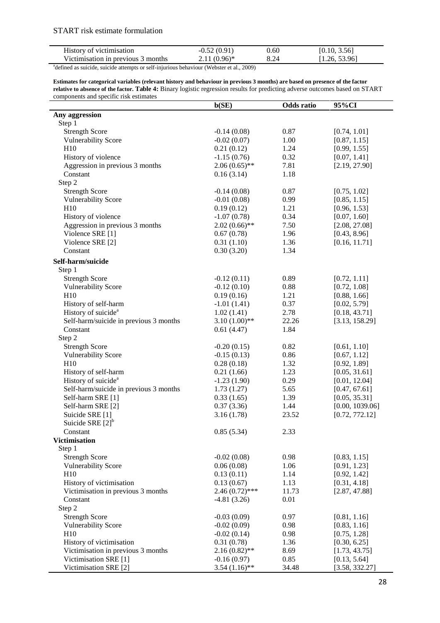| History of victimisation                                                                             | $-0.52(0.91)$  | 0.60 | [0.10, 3.56]  |
|------------------------------------------------------------------------------------------------------|----------------|------|---------------|
| Victimisation in previous 3 months                                                                   | $2.11(0.96)^*$ | 8.24 | [1.26, 53.96] |
| <sup>a</sup> defined as suicide, suicide attempts or self-injurious behaviour (Webster et al., 2009) |                |      |               |

**Estimates for categorical variables (relevant history and behaviour in previous 3 months) are based on presence of the factor relative to absence of the factor. Table 4:** Binary logistic regression results for predicting adverse outcomes based on START components and specific risk estimates

|                                        | b(SE)            | <b>Odds</b> ratio | 95%CI           |
|----------------------------------------|------------------|-------------------|-----------------|
| Any aggression                         |                  |                   |                 |
| Step 1                                 |                  |                   |                 |
| <b>Strength Score</b>                  | $-0.14(0.08)$    | 0.87              | [0.74, 1.01]    |
| <b>Vulnerability Score</b>             | $-0.02(0.07)$    | 1.00              | [0.87, 1.15]    |
| H10                                    | 0.21(0.12)       | 1.24              | [0.99, 1.55]    |
| History of violence                    | $-1.15(0.76)$    | 0.32              | [0.07, 1.41]    |
| Aggression in previous 3 months        | $2.06(0.65)$ **  | 7.81              | [2.19, 27.90]   |
| Constant                               | 0.16(3.14)       | 1.18              |                 |
| Step 2                                 |                  |                   |                 |
| <b>Strength Score</b>                  | $-0.14(0.08)$    | 0.87              | [0.75, 1.02]    |
| <b>Vulnerability Score</b>             | $-0.01(0.08)$    | 0.99              | [0.85, 1.15]    |
| H10                                    | 0.19(0.12)       | 1.21              | [0.96, 1.53]    |
| History of violence                    | $-1.07(0.78)$    | 0.34              | [0.07, 1.60]    |
| Aggression in previous 3 months        | $2.02(0.66)$ **  | 7.50              | [2.08, 27.08]   |
| Violence SRE [1]                       | 0.67(0.78)       | 1.96              | [0.43, 8.96]    |
| Violence SRE [2]                       | 0.31(1.10)       | 1.36              | [0.16, 11.71]   |
| Constant                               | 0.30(3.20)       | 1.34              |                 |
|                                        |                  |                   |                 |
| Self-harm/suicide                      |                  |                   |                 |
| Step 1                                 |                  |                   |                 |
| <b>Strength Score</b>                  | $-0.12(0.11)$    | 0.89              | [0.72, 1.11]    |
| <b>Vulnerability Score</b>             | $-0.12(0.10)$    | 0.88              | [0.72, 1.08]    |
| H10                                    | 0.19(0.16)       | 1.21              | [0.88, 1.66]    |
| History of self-harm                   | $-1.01(1.41)$    | 0.37              | [0.02, 5.79]    |
| History of suicide <sup>a</sup>        | 1.02(1.41)       | 2.78              | [0.18, 43.71]   |
| Self-harm/suicide in previous 3 months | $3.10(1.00)$ **  | 22.26             | [3.13, 158.29]  |
| Constant                               | 0.61(4.47)       | 1.84              |                 |
| Step 2                                 |                  |                   |                 |
| <b>Strength Score</b>                  | $-0.20(0.15)$    | 0.82              | [0.61, 1.10]    |
| <b>Vulnerability Score</b>             | $-0.15(0.13)$    | 0.86              | [0.67, 1.12]    |
| H10                                    | 0.28(0.18)       | 1.32              | [0.92, 1.89]    |
| History of self-harm                   | 0.21(1.66)       | 1.23              | [0.05, 31.61]   |
| History of suicide <sup>a</sup>        | $-1.23(1.90)$    | 0.29              | [0.01, 12.04]   |
| Self-harm/suicide in previous 3 months | 1.73(1.27)       | 5.65              | [0.47, 67.61]   |
| Self-harm SRE [1]                      | 0.33(1.65)       | 1.39              | [0.05, 35.31]   |
| Self-harm SRE [2]                      | 0.37(3.36)       | 1.44              | [0.00, 1039.06] |
| Suicide SRE [1]                        | 3.16(1.78)       | 23.52             | [0.72, 772.12]  |
| Suicide SRE $[2]$ <sup>b</sup>         |                  |                   |                 |
| Constant                               | 0.85(5.34)       | 2.33              |                 |
| <b>Victimisation</b>                   |                  |                   |                 |
| Step 1                                 |                  |                   |                 |
| <b>Strength Score</b>                  | $-0.02(0.08)$    | 0.98              | [0.83, 1.15]    |
| <b>Vulnerability Score</b>             | 0.06(0.08)       | 1.06              | [0.91, 1.23]    |
| H10                                    | 0.13(0.11)       | 1.14              | [0.92, 1.42]    |
| History of victimisation               | 0.13(0.67)       | 1.13              | [0.31, 4.18]    |
| Victimisation in previous 3 months     | $2.46(0.72)$ *** | 11.73             | [2.87, 47.88]   |
| Constant                               | $-4.81(3.26)$    | 0.01              |                 |
| Step 2                                 |                  |                   |                 |
| <b>Strength Score</b>                  | $-0.03(0.09)$    | 0.97              | [0.81, 1.16]    |
| <b>Vulnerability Score</b>             | $-0.02(0.09)$    | 0.98              | [0.83, 1.16]    |
| H10                                    | $-0.02(0.14)$    | 0.98              | [0.75, 1.28]    |
| History of victimisation               | 0.31(0.78)       | 1.36              | [0.30, 6.25]    |
| Victimisation in previous 3 months     | $2.16(0.82)$ **  | 8.69              | [1.73, 43.75]   |
| Victimisation SRE [1]                  | $-0.16(0.97)$    | 0.85              | [0.13, 5.64]    |
| Victimisation SRE [2]                  | $3.54(1.16)$ **  | 34.48             | [3.58, 332.27]  |
|                                        |                  |                   |                 |